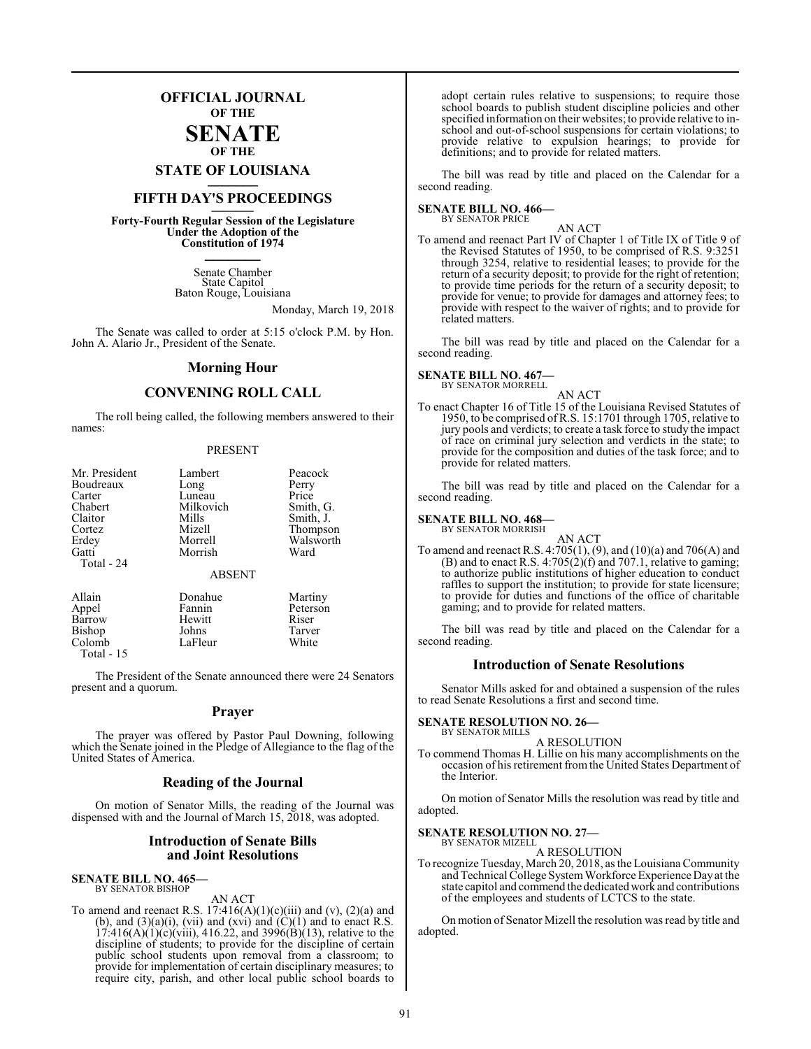# **OFFICIAL JOURNAL OF THE**

# **SENATE OF THE**

**STATE OF LOUISIANA \_\_\_\_\_\_\_**

# **FIFTH DAY'S PROCEEDINGS \_\_\_\_\_\_\_**

**Forty-Fourth Regular Session of the Legislature Under the Adoption of the Constitution of 1974 \_\_\_\_\_\_\_**

> Senate Chamber State Capitol Baton Rouge, Louisiana

> > Monday, March 19, 2018

The Senate was called to order at 5:15 o'clock P.M. by Hon. John A. Alario Jr., President of the Senate.

# **Morning Hour**

# **CONVENING ROLL CALL**

The roll being called, the following members answered to their names:

# PRESENT

| Mr. President       | Lambert       | Peacock   |
|---------------------|---------------|-----------|
| Boudreaux           | Long          | Perry     |
| Carter              | Luneau        | Price     |
| Chabert             | Milkovich     | Smith, G. |
| Claitor             | Mills         | Smith, J. |
| Cortez              | Mizell        | Thompson  |
| Erdey               | Morrell       | Walsworth |
| Gatti<br>Total - 24 | Morrish       | Ward      |
|                     | <b>ABSENT</b> |           |
| Allain              | Donahue       | Martiny   |
| Appel               | Fannin        | Peterson  |
| Barrow              | Hewitt        | Riser     |
| <b>Bishop</b>       | Johns         | Tarver    |

Colomb LaFleur White Total - 15

The President of the Senate announced there were 24 Senators present and a quorum.

# **Prayer**

The prayer was offered by Pastor Paul Downing, following which the Senate joined in the Pledge of Allegiance to the flag of the United States of America.

# **Reading of the Journal**

On motion of Senator Mills, the reading of the Journal was dispensed with and the Journal of March 15, 2018, was adopted.

# **Introduction of Senate Bills and Joint Resolutions**

# **SENATE BILL NO. 465—** BY SENATOR BISHOP

AN ACT

To amend and reenact R.S.  $17:416(A)(1)(c)(iii)$  and  $(v)$ ,  $(2)(a)$  and (b), and  $(3)(a)(i)$ , (vii) and (xvi) and  $(C)(1)$  and to enact R.S.  $17:416(A)(1)(c)(viii)$ ,  $416.22$ , and  $3996(B)(13)$ , relative to the discipline of students; to provide for the discipline of certain public school students upon removal from a classroom; to provide for implementation of certain disciplinary measures; to require city, parish, and other local public school boards to

adopt certain rules relative to suspensions; to require those school boards to publish student discipline policies and other specified information on their websites; to provide relative to inschool and out-of-school suspensions for certain violations; to provide relative to expulsion hearings; to provide for definitions; and to provide for related matters.

The bill was read by title and placed on the Calendar for a second reading.

#### **SENATE BILL NO. 466—** BY SENATOR PRICE

AN ACT

To amend and reenact Part IV of Chapter 1 of Title IX of Title 9 of the Revised Statutes of 1950, to be comprised of R.S. 9:3251 through 3254, relative to residential leases; to provide for the return of a security deposit; to provide for the right of retention; to provide time periods for the return of a security deposit; to provide for venue; to provide for damages and attorney fees; to provide with respect to the waiver of rights; and to provide for related matters.

The bill was read by title and placed on the Calendar for a second reading.

# **SENATE BILL NO. 467—** BY SENATOR MORRELL

AN ACT

To enact Chapter 16 of Title 15 of the Louisiana Revised Statutes of 1950, to be comprised ofR.S. 15:1701 through 1705, relative to jury pools and verdicts; to create a task force to study the impact of race on criminal jury selection and verdicts in the state; to provide for the composition and duties of the task force; and to provide for related matters.

The bill was read by title and placed on the Calendar for a second reading.

#### **SENATE BILL NO. 468—** BY SENATOR MORRISH

AN ACT To amend and reenact R.S. 4:705(1), (9), and (10)(a) and 706(A) and  $(B)$  and to enact R.S. 4:705(2)(f) and 707.1, relative to gaming; to authorize public institutions of higher education to conduct raffles to support the institution; to provide for state licensure; to provide for duties and functions of the office of charitable gaming; and to provide for related matters.

The bill was read by title and placed on the Calendar for a second reading.

# **Introduction of Senate Resolutions**

Senator Mills asked for and obtained a suspension of the rules to read Senate Resolutions a first and second time.

#### **SENATE RESOLUTION NO. 26—** BY SENATOR MILLS

# A RESOLUTION

To commend Thomas H. Lillie on his many accomplishments on the occasion of his retirement fromthe United States Department of the Interior.

On motion of Senator Mills the resolution was read by title and adopted.

# **SENATE RESOLUTION NO. 27—**

BY SENATOR MIZELL A RESOLUTION

To recognize Tuesday, March 20, 2018, as the Louisiana Community and Technical College SystemWorkforce Experience Dayat the state capitol and commend the dedicated work and contributions of the employees and students of LCTCS to the state.

On motion of Senator Mizell the resolution was read by title and adopted.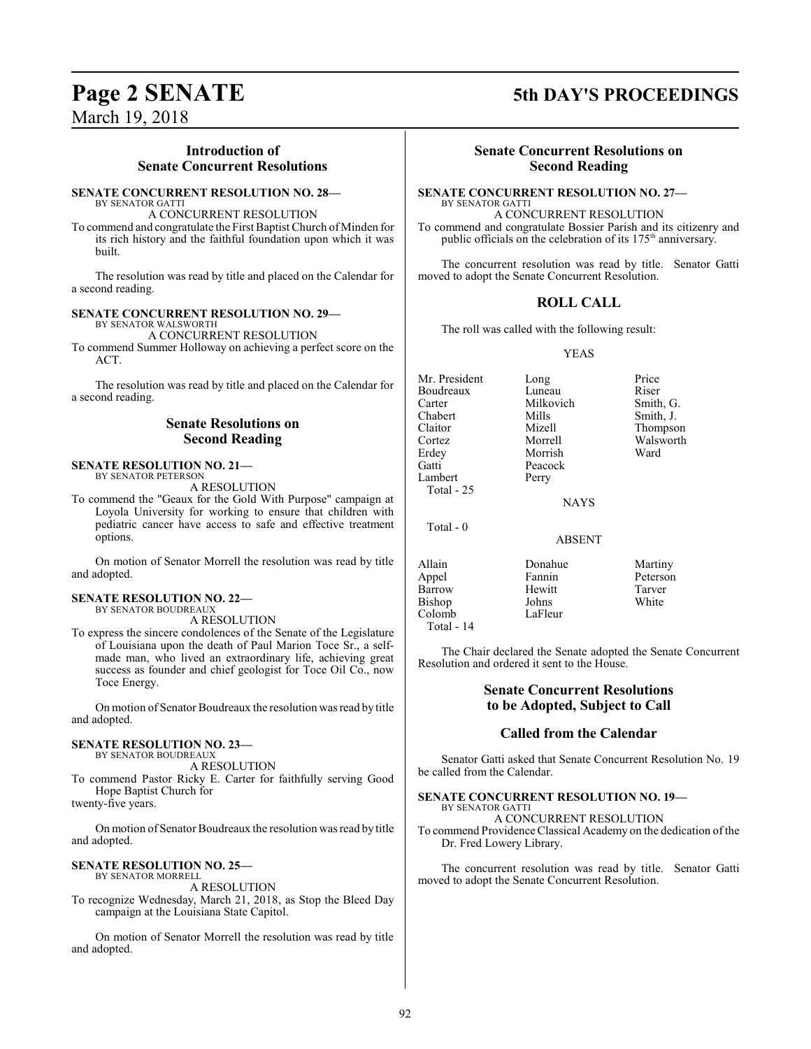# **Introduction of Senate Concurrent Resolutions**

## **SENATE CONCURRENT RESOLUTION NO. 28—** BY SENATOR GATTI

A CONCURRENT RESOLUTION

To commend and congratulate the First Baptist Church of Minden for its rich history and the faithful foundation upon which it was built.

The resolution was read by title and placed on the Calendar for a second reading.

## **SENATE CONCURRENT RESOLUTION NO. 29—** BY SENATOR WALSWORTH

A CONCURRENT RESOLUTION

To commend Summer Holloway on achieving a perfect score on the ACT.

The resolution was read by title and placed on the Calendar for a second reading.

# **Senate Resolutions on Second Reading**

# **SENATE RESOLUTION NO. 21—** BY SENATOR PETERSON

A RESOLUTION

To commend the "Geaux for the Gold With Purpose" campaign at Loyola University for working to ensure that children with pediatric cancer have access to safe and effective treatment options.

On motion of Senator Morrell the resolution was read by title and adopted.

# **SENATE RESOLUTION NO. 22—** BY SENATOR BOUDREAUX

A RESOLUTION

To express the sincere condolences of the Senate of the Legislature of Louisiana upon the death of Paul Marion Toce Sr., a selfmade man, who lived an extraordinary life, achieving great success as founder and chief geologist for Toce Oil Co., now Toce Energy.

On motion of Senator Boudreaux the resolution was read by title and adopted.

# **SENATE RESOLUTION NO. 23—**

BY SENATOR BOUDREAUX A RESOLUTION

To commend Pastor Ricky E. Carter for faithfully serving Good Hope Baptist Church for

twenty-five years.

On motion of Senator Boudreaux the resolution was read by title and adopted.

# **SENATE RESOLUTION NO. 25—**

BY SENATOR MORRELL A RESOLUTION

To recognize Wednesday, March 21, 2018, as Stop the Bleed Day campaign at the Louisiana State Capitol.

On motion of Senator Morrell the resolution was read by title and adopted.

# **Page 2 SENATE 5th DAY'S PROCEEDINGS**

# **Senate Concurrent Resolutions on Second Reading**

# **SENATE CONCURRENT RESOLUTION NO. 27—** BY SENATOR GATTI

A CONCURRENT RESOLUTION To commend and congratulate Bossier Parish and its citizenry and public officials on the celebration of its 175<sup>th</sup> anniversary.

The concurrent resolution was read by title. Senator Gatti moved to adopt the Senate Concurrent Resolution.

# **ROLL CALL**

The roll was called with the following result:

# YEAS

Mr. President Long Price<br>
Boudreaux Luneau Riser Boudreaux Luneau Riser<br>Carter Milkovich Smith, G. Chabert Mills Smith, J.<br>Claitor Mizell Thompso Cortez Morrell Walsworth Erdey Morrish<br>Gatti Peacock Lambert Total - 25

Total - 0

Milkovich<br>Mills Mizell Thompson<br>Morrell Walsworth Peacock<br>Perry

NAYS

# ABSENT

Allain **1988** Donahue Martiny<br>
Appel Fannin Peterson Barrow Hewitt Tarver<br>Bishop Johns White Bishop Colomb LaFleur Total - 14

Fannin Peterson<br>Hewitt Tarver

The Chair declared the Senate adopted the Senate Concurrent Resolution and ordered it sent to the House.

# **Senate Concurrent Resolutions to be Adopted, Subject to Call**

# **Called from the Calendar**

Senator Gatti asked that Senate Concurrent Resolution No. 19 be called from the Calendar.

### **SENATE CONCURRENT RESOLUTION NO. 19—** BY SENATOR GATTI

A CONCURRENT RESOLUTION

To commend Providence Classical Academy on the dedication of the Dr. Fred Lowery Library.

The concurrent resolution was read by title. Senator Gatti moved to adopt the Senate Concurrent Resolution.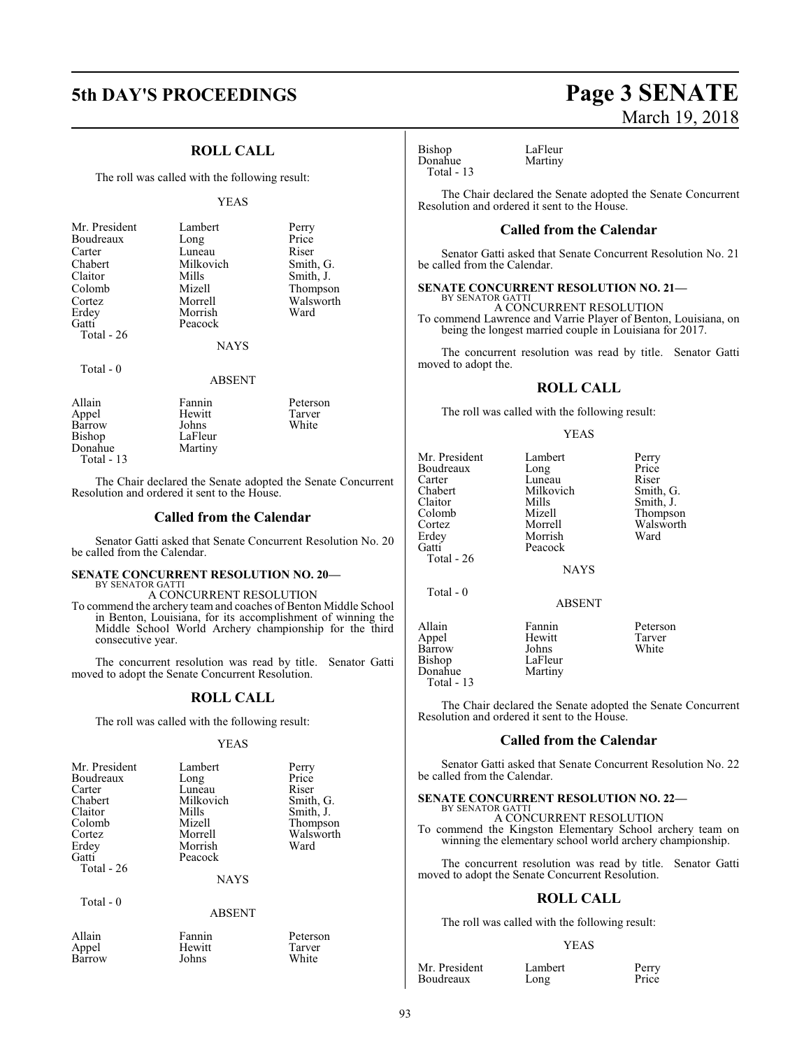# **5th DAY'S PROCEEDINGS Page 3 SENATE**

# **ROLL CALL**

The roll was called with the following result:

# YEAS

| Mr. President | Lambert   | Perry     |
|---------------|-----------|-----------|
| Boudreaux     | Long      | Price     |
| Carter        | Luneau    | Riser     |
| Chabert       | Milkovich | Smith, G. |
| Claitor       | Mills     | Smith, J. |
| Colomb        | Mizell    | Thompson  |
| Cortez        | Morrell   | Walsworth |
| Erdey         | Morrish   | Ward      |
| Gatti         | Peacock   |           |
| Total - 26    |           |           |

NAYS

# Total - 0

ABSENT

| Allain     | Fannin  | Peterson |
|------------|---------|----------|
| Appel      | Hewitt  | Tarver   |
| Barrow     | Johns   | White    |
| Bishop     | LaFleur |          |
| Donahue    | Martiny |          |
| Total - 13 |         |          |

The Chair declared the Senate adopted the Senate Concurrent Resolution and ordered it sent to the House.

# **Called from the Calendar**

Senator Gatti asked that Senate Concurrent Resolution No. 20 be called from the Calendar.

# **SENATE CONCURRENT RESOLUTION NO. 20—** BY SENATOR GATTI

A CONCURRENT RESOLUTION

To commend the archery team and coaches of Benton Middle School in Benton, Louisiana, for its accomplishment of winning the Middle School World Archery championship for the third consecutive year.

The concurrent resolution was read by title. Senator Gatti moved to adopt the Senate Concurrent Resolution.

# **ROLL CALL**

The roll was called with the following result:

# YEAS

| Mr. President | Lambert     | Perry     |
|---------------|-------------|-----------|
| Boudreaux     | Long        | Price     |
| Carter        | Luneau      | Riser     |
| Chabert       | Milkovich   | Smith, G. |
| Claitor       | Mills       | Smith, J. |
| Colomb        | Mizell      | Thompson  |
| Cortez        | Morrell     | Walsworth |
| Erdey         | Morrish     | Ward      |
| Gatti         | Peacock     |           |
| Total - 26    |             |           |
|               | <b>NAYS</b> |           |

Total - 0

Barrow

- 
- ABSENT

| Allain        | Fannin       | Peterson |
|---------------|--------------|----------|
| Appel         | Hewitt       | Tarver   |
| <b>Barrow</b> | <b>Iohns</b> | White    |

# March 19, 2018

Bishop LaFleur<br>Donahue Martiny Donahue Total - 13

The Chair declared the Senate adopted the Senate Concurrent Resolution and ordered it sent to the House.

# **Called from the Calendar**

Senator Gatti asked that Senate Concurrent Resolution No. 21 be called from the Calendar.

## **SENATE CONCURRENT RESOLUTION NO. 21—** BY SENATOR GATTI

A CONCURRENT RESOLUTION

To commend Lawrence and Varrie Player of Benton, Louisiana, on being the longest married couple in Louisiana for 2017.

The concurrent resolution was read by title. Senator Gatti moved to adopt the.

# **ROLL CALL**

The roll was called with the following result:

## YEAS

| Mr. President | Lambert       | Perry     |
|---------------|---------------|-----------|
| Boudreaux     | Long          | Price     |
| Carter        | Luneau        | Riser     |
| Chabert       | Milkovich     | Smith, G. |
| Claitor       | Mills         | Smith, J. |
| Colomb        | Mizell        | Thompson  |
| Cortez        | Morrell       | Walsworth |
| Erdey         | Morrish       | Ward      |
| Gatti         | Peacock       |           |
| Total - 26    |               |           |
|               | <b>NAYS</b>   |           |
| Total - 0     |               |           |
|               | <b>ABSENT</b> |           |
| Allain        | Fannin        | Peterson  |
| Appel         | Hewitt        | Tarver    |
| Barrow        | Johns         | White     |
| Bishop        | LaFleur       |           |
| Donahue       | Martiny       |           |

The Chair declared the Senate adopted the Senate Concurrent Resolution and ordered it sent to the House.

# **Called from the Calendar**

Senator Gatti asked that Senate Concurrent Resolution No. 22 be called from the Calendar.

# **SENATE CONCURRENT RESOLUTION NO. 22—** BY SENATOR GATTI

A CONCURRENT RESOLUTION To commend the Kingston Elementary School archery team on winning the elementary school world archery championship.

The concurrent resolution was read by title. Senator Gatti moved to adopt the Senate Concurrent Resolution.

# **ROLL CALL**

The roll was called with the following result:

# YEAS

Mr. President Lambert Perry<br>Boudreaux Long Price **Boudreaux** 

Total - 13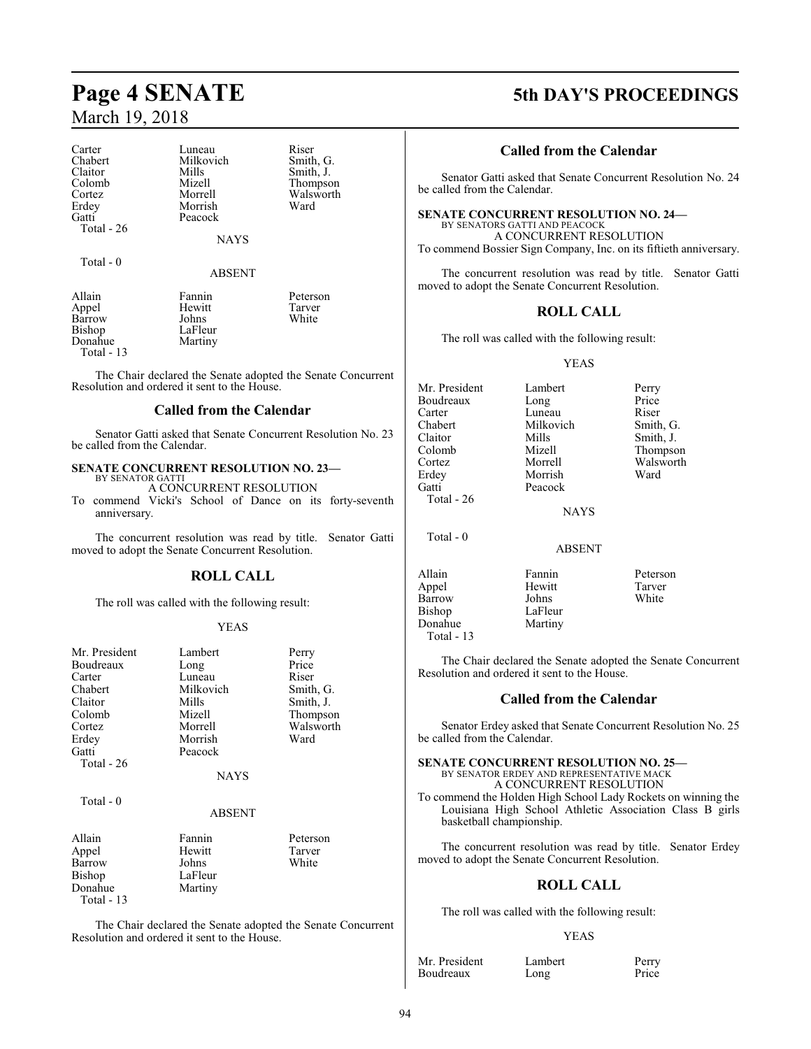| Carter     | Luneau      | Riser     |
|------------|-------------|-----------|
| Chabert    | Milkovich   | Smith, G. |
| Claitor    | Mills       | Smith, J. |
| Colomb     | Mizell      | Thompson  |
| Cortez     | Morrell     | Walsworth |
| Erdey      | Morrish     | Ward      |
| Gatti      | Peacock     |           |
| Total - 26 |             |           |
|            | <b>NAYS</b> |           |
| Total - 0  |             |           |
|            | ABSENT      |           |

| Allain      | Fannin  | Peterson |
|-------------|---------|----------|
| Appel       | Hewitt  | Tarver   |
| Barrow      | Johns   | White    |
| Bishop      | LaFleur |          |
| Donahue     | Martiny |          |
| Total $-13$ |         |          |

The Chair declared the Senate adopted the Senate Concurrent Resolution and ordered it sent to the House.

# **Called from the Calendar**

Senator Gatti asked that Senate Concurrent Resolution No. 23 be called from the Calendar.

#### **SENATE CONCURRENT RESOLUTION NO. 23—** BY SENATOR GATTI

A CONCURRENT RESOLUTION

To commend Vicki's School of Dance on its forty-seventh anniversary.

The concurrent resolution was read by title. Senator Gatti moved to adopt the Senate Concurrent Resolution.

# **ROLL CALL**

The roll was called with the following result:

# YEAS

| Mr. President<br>Boudreaux<br>Carter<br>Chabert<br>Claitor<br>Colomb<br>Cortez<br>Erdey<br>Gatti<br>Total - 26 | Lambert<br>Long<br>Luneau<br>Milkovich<br>Mills<br>Mizell<br>Morrell<br>Morrish<br>Peacock<br><b>NAYS</b> | Perry<br>Price<br>Riser<br>Smith, G.<br>Smith, J.<br>Thompson<br>Walsworth<br>Ward |
|----------------------------------------------------------------------------------------------------------------|-----------------------------------------------------------------------------------------------------------|------------------------------------------------------------------------------------|
| Total $-0$                                                                                                     | <b>ABSENT</b>                                                                                             |                                                                                    |
| Allain<br>Appel<br>Barrow<br>Bishop<br>Donahue<br>Total - 13                                                   | Fannin<br>Hewitt<br>Johns<br>LaFleur<br>Martiny                                                           | Peterson<br>Tarver<br>White                                                        |

The Chair declared the Senate adopted the Senate Concurrent Resolution and ordered it sent to the House.

# **Page 4 SENATE 5th DAY'S PROCEEDINGS**

# **Called from the Calendar**

Senator Gatti asked that Senate Concurrent Resolution No. 24 be called from the Calendar.

# **SENATE CONCURRENT RESOLUTION NO. 24—**

BY SENATORS GATTI AND PEACOCK A CONCURRENT RESOLUTION To commend Bossier Sign Company, Inc. on its fiftieth anniversary.

The concurrent resolution was read by title. Senator Gatti moved to adopt the Senate Concurrent Resolution.

# **ROLL CALL**

The roll was called with the following result:

# YEAS

| Mr. President | Lambert     | Perry     |
|---------------|-------------|-----------|
| Boudreaux     | Long        | Price     |
| Carter        | Luneau      | Riser     |
| Chabert       | Milkovich   | Smith, G. |
| Claitor       | Mills       | Smith, J. |
| Colomb        | Mizell      | Thompson  |
| Cortez        | Morrell     | Walsworth |
| Erdey         | Morrish     | Ward      |
| Gatti         | Peacock     |           |
| Total - 26    |             |           |
|               | <b>NAYS</b> |           |
| $Total - 0$   |             |           |

ABSENT

LaFleur<br>Martiny

Allain Fannin Peterson Appel Hewitt Tarver Barrow<br>Bishop Donahue Total - 13

The Chair declared the Senate adopted the Senate Concurrent Resolution and ordered it sent to the House.

# **Called from the Calendar**

Senator Erdey asked that Senate Concurrent Resolution No. 25 be called from the Calendar.

# **SENATE CONCURRENT RESOLUTION NO. 25—** BY SENATOR ERDEY AND REPRESENTATIVE MACK A CONCURRENT RESOLUTION

To commend the Holden High School Lady Rockets on winning the Louisiana High School Athletic Association Class B girls basketball championship.

The concurrent resolution was read by title. Senator Erdey moved to adopt the Senate Concurrent Resolution.

# **ROLL CALL**

The roll was called with the following result:

# YEAS

Mr. President Lambert Perry<br>Boudreaux Long Price **Boudreaux**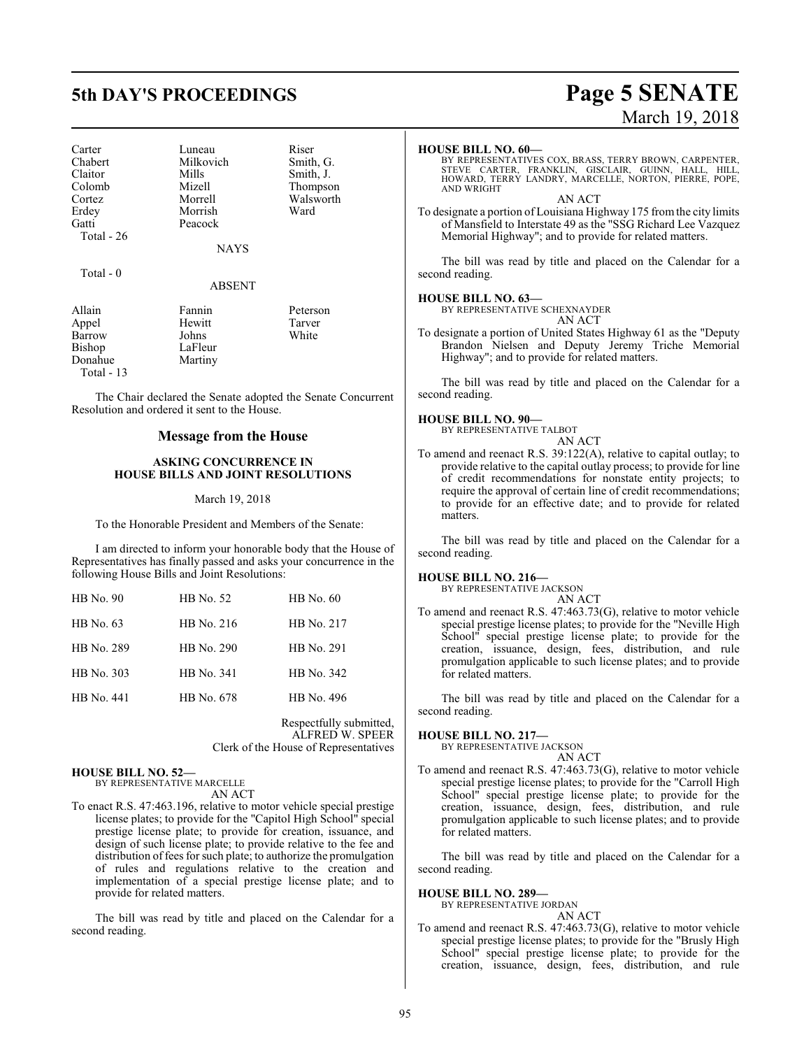Carter Luneau Riser<br>
Chabert Milkovich Smith, G. Chabert Milkovich<br>Claitor Mills Claitor Mills Smith, J.<br>Colomb Mizell Thompso Colomb Mizell Thompson Cortez Morrell Walsworth Erdey Morrish<br>Gatti Peacock Total - 26

Peacock

NAYS

Total - 0

# ABSENT

| Allain      | Fannin  | Peterson |
|-------------|---------|----------|
| Appel       | Hewitt  | Tarver   |
| Barrow      | Johns   | White    |
| Bishop      | LaFleur |          |
| Donahue     | Martiny |          |
| Total $-13$ |         |          |

The Chair declared the Senate adopted the Senate Concurrent Resolution and ordered it sent to the House.

# **Message from the House**

# **ASKING CONCURRENCE IN HOUSE BILLS AND JOINT RESOLUTIONS**

# March 19, 2018

To the Honorable President and Members of the Senate:

I am directed to inform your honorable body that the House of Representatives has finally passed and asks your concurrence in the following House Bills and Joint Resolutions:

| $HB$ No. 90 | HB No. 52  | HB No. 60  |
|-------------|------------|------------|
| HB No. 63   | HB No. 216 | HB No. 217 |
| HB No. 289  | HB No. 290 | HB No. 291 |
| HB No. 303  | HB No. 341 | HB No. 342 |
| HB No. 441  | HB No. 678 | HB No. 496 |

Respectfully submitted, ALFRED W. SPEER Clerk of the House of Representatives

# **HOUSE BILL NO. 52—**

BY REPRESENTATIVE MARCELLE AN ACT

To enact R.S. 47:463.196, relative to motor vehicle special prestige license plates; to provide for the "Capitol High School" special prestige license plate; to provide for creation, issuance, and design of such license plate; to provide relative to the fee and distribution of fees for such plate; to authorize the promulgation of rules and regulations relative to the creation and implementation of a special prestige license plate; and to provide for related matters.

The bill was read by title and placed on the Calendar for a second reading.

# **HOUSE BILL NO. 60—**

BY REPRESENTATIVES COX, BRASS, TERRY BROWN, CARPENTER,<br>STEVE CARTER, FRANKLIN, GISCLAIR, GUINN, HALL, HILL,<br>HOWARD, TERRY LANDRY, MARCELLE, NORTON, PIERRE, POPE, AND WRIGHT AN ACT

To designate a portion of Louisiana Highway 175 fromthe city limits of Mansfield to Interstate 49 as the "SSG Richard Lee Vazquez Memorial Highway"; and to provide for related matters.

The bill was read by title and placed on the Calendar for a second reading.

# **HOUSE BILL NO. 63—**

BY REPRESENTATIVE SCHEXNAYDER AN ACT

To designate a portion of United States Highway 61 as the "Deputy Brandon Nielsen and Deputy Jeremy Triche Memorial Highway"; and to provide for related matters.

The bill was read by title and placed on the Calendar for a second reading.

# **HOUSE BILL NO. 90—**

BY REPRESENTATIVE TALBOT

# AN ACT

To amend and reenact R.S. 39:122(A), relative to capital outlay; to provide relative to the capital outlay process; to provide for line of credit recommendations for nonstate entity projects; to require the approval of certain line of credit recommendations; to provide for an effective date; and to provide for related matters.

The bill was read by title and placed on the Calendar for a second reading.

# **HOUSE BILL NO. 216—**

BY REPRESENTATIVE JACKSON AN ACT

To amend and reenact R.S. 47:463.73(G), relative to motor vehicle special prestige license plates; to provide for the "Neville High School" special prestige license plate; to provide for the creation, issuance, design, fees, distribution, and rule promulgation applicable to such license plates; and to provide for related matters.

The bill was read by title and placed on the Calendar for a second reading.

# **HOUSE BILL NO. 217—**

BY REPRESENTATIVE JACKSON AN ACT

To amend and reenact R.S. 47:463.73(G), relative to motor vehicle special prestige license plates; to provide for the "Carroll High School" special prestige license plate; to provide for the creation, issuance, design, fees, distribution, and rule promulgation applicable to such license plates; and to provide for related matters.

The bill was read by title and placed on the Calendar for a second reading.

# **HOUSE BILL NO. 289—**

BY REPRESENTATIVE JORDAN AN ACT

To amend and reenact R.S. 47:463.73(G), relative to motor vehicle special prestige license plates; to provide for the "Brusly High School" special prestige license plate; to provide for the creation, issuance, design, fees, distribution, and rule

# **5th DAY'S PROCEEDINGS Page 5 SENATE** March 19, 2018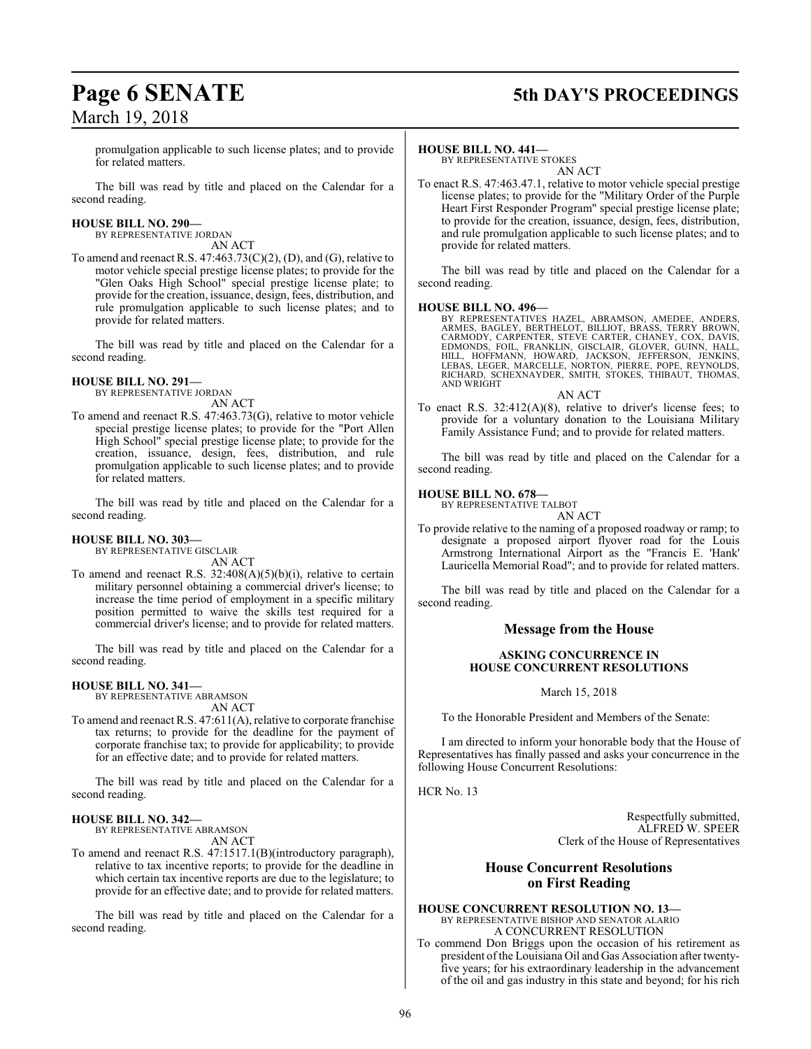# **Page 6 SENATE 5th DAY'S PROCEEDINGS**

promulgation applicable to such license plates; and to provide for related matters.

The bill was read by title and placed on the Calendar for a second reading.

# **HOUSE BILL NO. 290—**

BY REPRESENTATIVE JORDAN AN ACT

To amend and reenact R.S.  $47:463.73(C)(2)$ , (D), and (G), relative to motor vehicle special prestige license plates; to provide for the "Glen Oaks High School" special prestige license plate; to provide for the creation, issuance, design, fees, distribution, and rule promulgation applicable to such license plates; and to provide for related matters.

The bill was read by title and placed on the Calendar for a second reading.

# **HOUSE BILL NO. 291—**

BY REPRESENTATIVE JORDAN AN ACT

To amend and reenact R.S. 47:463.73(G), relative to motor vehicle special prestige license plates; to provide for the "Port Allen High School" special prestige license plate; to provide for the creation, issuance, design, fees, distribution, and rule promulgation applicable to such license plates; and to provide for related matters.

The bill was read by title and placed on the Calendar for a second reading.

# **HOUSE BILL NO. 303—**

BY REPRESENTATIVE GISCLAIR AN ACT

To amend and reenact R.S. 32:408(A)(5)(b)(i), relative to certain military personnel obtaining a commercial driver's license; to increase the time period of employment in a specific military position permitted to waive the skills test required for a commercial driver's license; and to provide for related matters.

The bill was read by title and placed on the Calendar for a second reading.

# **HOUSE BILL NO. 341—**

BY REPRESENTATIVE ABRAMSON AN ACT

To amend and reenact R.S. 47:611(A), relative to corporate franchise tax returns; to provide for the deadline for the payment of corporate franchise tax; to provide for applicability; to provide for an effective date; and to provide for related matters.

The bill was read by title and placed on the Calendar for a second reading.

# **HOUSE BILL NO. 342—**

BY REPRESENTATIVE ABRAMSON AN ACT

To amend and reenact R.S. 47:1517.1(B)(introductory paragraph), relative to tax incentive reports; to provide for the deadline in which certain tax incentive reports are due to the legislature; to provide for an effective date; and to provide for related matters.

The bill was read by title and placed on the Calendar for a second reading.

# **HOUSE BILL NO. 441—**

BY REPRESENTATIVE STOKES AN ACT

To enact R.S. 47:463.47.1, relative to motor vehicle special prestige license plates; to provide for the "Military Order of the Purple Heart First Responder Program" special prestige license plate; to provide for the creation, issuance, design, fees, distribution, and rule promulgation applicable to such license plates; and to provide for related matters.

The bill was read by title and placed on the Calendar for a second reading.

# **HOUSE BILL NO. 496—**

BY REPRESENTATIVES HAZEL, ABRAMSON, AMEDEE, ANDERS,<br>ARMES, BAGLEY, BERTHELOT, BILLIOT, BRASS, TERRY BROWN,<br>CARMODY, CARPENTER, STEVE CARTER, CHANEY, COX, DAVIS,<br>EDMONDS, FOIL, FRANKLIN, GISCLAIR, GLOVER, GUINN, HALL, HILL, HOFFMANN, HOWARD, JACKSON, JEFFERSON, JENKINS,<br>LEBAS, LEGER, MARCELLE, NORTON, PIERRE, POPE, REYNOLDS,<br>RICHARD, SCHEXNAYDER, SMITH, STOKES, THIBAUT, THOMAS, AND WRIGHT

AN ACT To enact R.S. 32:412(A)(8), relative to driver's license fees; to provide for a voluntary donation to the Louisiana Military Family Assistance Fund; and to provide for related matters.

The bill was read by title and placed on the Calendar for a second reading.

# **HOUSE BILL NO. 678—**

BY REPRESENTATIVE TALBOT AN ACT

To provide relative to the naming of a proposed roadway or ramp; to designate a proposed airport flyover road for the Louis Armstrong International Airport as the "Francis E. 'Hank' Lauricella Memorial Road"; and to provide for related matters.

The bill was read by title and placed on the Calendar for a second reading.

# **Message from the House**

# **ASKING CONCURRENCE IN HOUSE CONCURRENT RESOLUTIONS**

March 15, 2018

To the Honorable President and Members of the Senate:

I am directed to inform your honorable body that the House of Representatives has finally passed and asks your concurrence in the following House Concurrent Resolutions:

HCR No. 13

Respectfully submitted, ALFRED W. SPEER Clerk of the House of Representatives

# **House Concurrent Resolutions on First Reading**

**HOUSE CONCURRENT RESOLUTION NO. 13—** BY REPRESENTATIVE BISHOP AND SENATOR ALARIO A CONCURRENT RESOLUTION

To commend Don Briggs upon the occasion of his retirement as president ofthe Louisiana Oil and Gas Association after twentyfive years; for his extraordinary leadership in the advancement of the oil and gas industry in this state and beyond; for his rich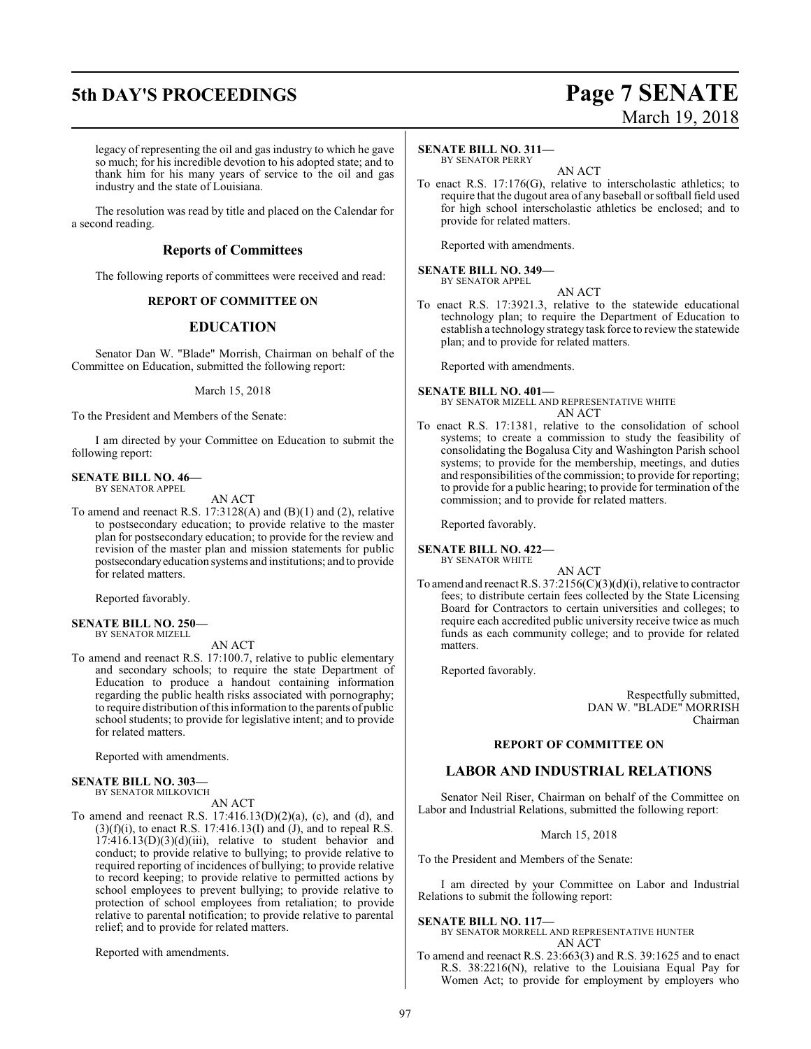# **5th DAY'S PROCEEDINGS Page 7 SENATE**

# March 19, 2018

legacy of representing the oil and gas industry to which he gave so much; for his incredible devotion to his adopted state; and to thank him for his many years of service to the oil and gas industry and the state of Louisiana.

The resolution was read by title and placed on the Calendar for a second reading.

# **Reports of Committees**

The following reports of committees were received and read:

# **REPORT OF COMMITTEE ON**

# **EDUCATION**

Senator Dan W. "Blade" Morrish, Chairman on behalf of the Committee on Education, submitted the following report:

March 15, 2018

To the President and Members of the Senate:

I am directed by your Committee on Education to submit the following report:

# **SENATE BILL NO. 46—**

BY SENATOR APPEL

To amend and reenact R.S. 17:3128(A) and (B)(1) and (2), relative to postsecondary education; to provide relative to the master plan for postsecondary education; to provide for the review and revision of the master plan and mission statements for public postsecondaryeducation systems and institutions; and to provide for related matters.

AN ACT

Reported favorably.

### **SENATE BILL NO. 250—** BY SENATOR MIZELL

AN ACT

To amend and reenact R.S. 17:100.7, relative to public elementary and secondary schools; to require the state Department of Education to produce a handout containing information regarding the public health risks associated with pornography; to require distribution ofthis information to the parents of public school students; to provide for legislative intent; and to provide for related matters.

Reported with amendments.

## **SENATE BILL NO. 303—** BY SENATOR MILKOVICH

AN ACT

To amend and reenact R.S. 17:416.13(D)(2)(a), (c), and (d), and  $(3)(f)(i)$ , to enact R.S. 17:416.13(I) and  $(j)$ , and to repeal R.S.  $17:416.13(D)(3)(d)(iii)$ , relative to student behavior and conduct; to provide relative to bullying; to provide relative to required reporting of incidences of bullying; to provide relative to record keeping; to provide relative to permitted actions by school employees to prevent bullying; to provide relative to protection of school employees from retaliation; to provide relative to parental notification; to provide relative to parental relief; and to provide for related matters.

Reported with amendments.

# **SENATE BILL NO. 311—** BY SENATOR PERRY

AN ACT

To enact R.S. 17:176(G), relative to interscholastic athletics; to require that the dugout area of any baseball or softball field used for high school interscholastic athletics be enclosed; and to provide for related matters.

Reported with amendments.

### **SENATE BILL NO. 349—** BY SENATOR APPEL

- AN ACT
- To enact R.S. 17:3921.3, relative to the statewide educational technology plan; to require the Department of Education to establish a technology strategy task force to reviewthe statewide plan; and to provide for related matters.

Reported with amendments.

# **SENATE BILL NO. 401—** BY SENATOR MIZELL AND REPRESENTATIVE WHITE

AN ACT

To enact R.S. 17:1381, relative to the consolidation of school systems; to create a commission to study the feasibility of consolidating the Bogalusa City and Washington Parish school systems; to provide for the membership, meetings, and duties and responsibilities of the commission; to provide for reporting; to provide for a public hearing; to provide for termination of the commission; and to provide for related matters.

Reported favorably.

**SENATE BILL NO. 422—** BY SENATOR WHITE

AN ACT

To amend and reenact R.S. 37:2156(C)(3)(d)(i), relative to contractor fees; to distribute certain fees collected by the State Licensing Board for Contractors to certain universities and colleges; to require each accredited public university receive twice as much funds as each community college; and to provide for related matters.

Reported favorably.

Respectfully submitted, DAN W. "BLADE" MORRISH Chairman

# **REPORT OF COMMITTEE ON**

# **LABOR AND INDUSTRIAL RELATIONS**

Senator Neil Riser, Chairman on behalf of the Committee on Labor and Industrial Relations, submitted the following report:

March 15, 2018

To the President and Members of the Senate:

I am directed by your Committee on Labor and Industrial Relations to submit the following report:

**SENATE BILL NO. 117—**

BY SENATOR MORRELL AND REPRESENTATIVE HUNTER AN ACT

To amend and reenact R.S. 23:663(3) and R.S. 39:1625 and to enact R.S. 38:2216(N), relative to the Louisiana Equal Pay for Women Act; to provide for employment by employers who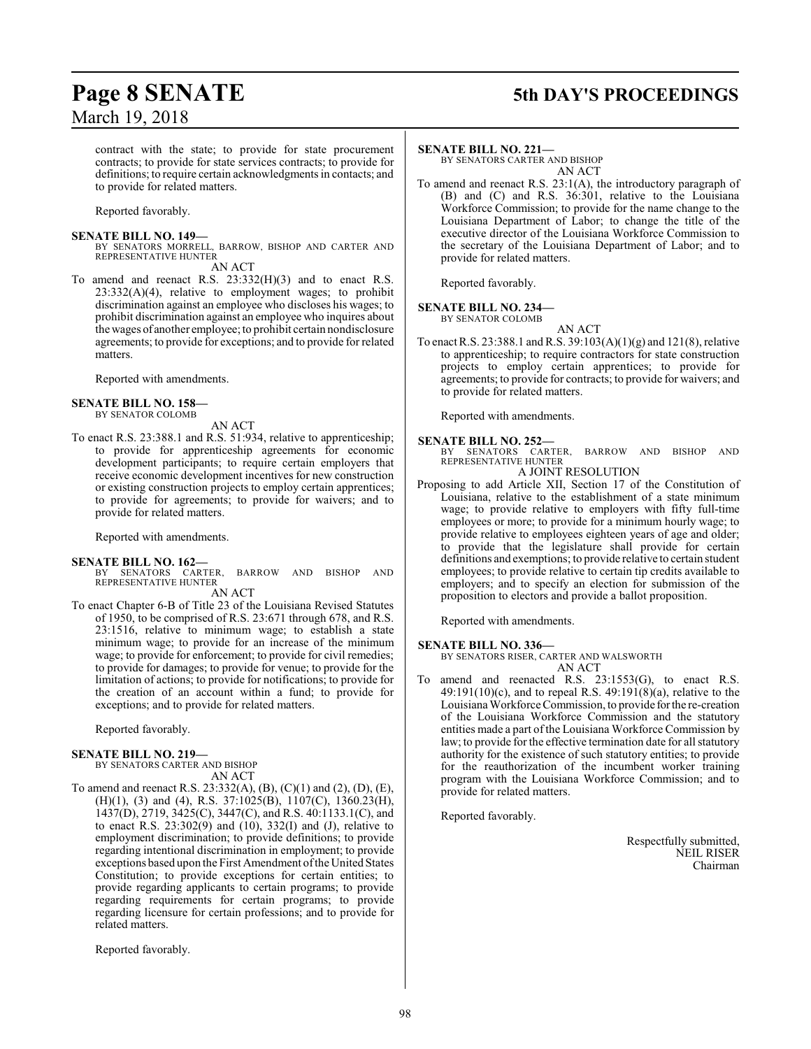# **Page 8 SENATE 5th DAY'S PROCEEDINGS**

contract with the state; to provide for state procurement contracts; to provide for state services contracts; to provide for definitions; to require certain acknowledgments in contacts; and to provide for related matters.

Reported favorably.

# **SENATE BILL NO. 149—**

BY SENATORS MORRELL, BARROW, BISHOP AND CARTER AND REPRESENTATIVE HUNTER

AN ACT

To amend and reenact R.S. 23:332(H)(3) and to enact R.S. 23:332(A)(4), relative to employment wages; to prohibit discrimination against an employee who discloses his wages; to prohibit discrimination against an employee who inquires about the wages of another employee; to prohibit certain nondisclosure agreements; to provide for exceptions; and to provide for related matters.

Reported with amendments.

# **SENATE BILL NO. 158—**

BY SENATOR COLOMB

- AN ACT To enact R.S. 23:388.1 and R.S. 51:934, relative to apprenticeship; to provide for apprenticeship agreements for economic
- development participants; to require certain employers that receive economic development incentives for new construction or existing construction projects to employ certain apprentices; to provide for agreements; to provide for waivers; and to provide for related matters.

Reported with amendments.

# **SENATE BILL NO. 162—**

BARROW AND BISHOP AND BY SENATORS CARTER, REPRESENTATIVE HUNTER

AN ACT

To enact Chapter 6-B of Title 23 of the Louisiana Revised Statutes of 1950, to be comprised of R.S. 23:671 through 678, and R.S. 23:1516, relative to minimum wage; to establish a state minimum wage; to provide for an increase of the minimum wage; to provide for enforcement; to provide for civil remedies; to provide for damages; to provide for venue; to provide for the limitation of actions; to provide for notifications; to provide for the creation of an account within a fund; to provide for exceptions; and to provide for related matters.

Reported favorably.

# **SENATE BILL NO. 219—**

BY SENATORS CARTER AND BISHOP AN ACT

To amend and reenact R.S. 23:332(A), (B), (C)(1) and (2), (D), (E), (H)(1), (3) and (4), R.S. 37:1025(B), 1107(C), 1360.23(H), 1437(D), 2719, 3425(C), 3447(C), and R.S. 40:1133.1(C), and to enact R.S. 23:302(9) and (10), 332(I) and (J), relative to employment discrimination; to provide definitions; to provide regarding intentional discrimination in employment; to provide exceptions based upon the First Amendment ofthe United States Constitution; to provide exceptions for certain entities; to provide regarding applicants to certain programs; to provide regarding requirements for certain programs; to provide regarding licensure for certain professions; and to provide for related matters.

Reported favorably.

# **SENATE BILL NO. 221—**

BY SENATORS CARTER AND BISHOP AN ACT

To amend and reenact R.S. 23:1(A), the introductory paragraph of (B) and (C) and R.S. 36:301, relative to the Louisiana Workforce Commission; to provide for the name change to the Louisiana Department of Labor; to change the title of the executive director of the Louisiana Workforce Commission to the secretary of the Louisiana Department of Labor; and to provide for related matters.

Reported favorably.

**SENATE BILL NO. 234—**

BY SENATOR COLOMB

AN ACT

To enact R.S. 23:388.1 andR.S. 39:103(A)(1)(g) and 121(8), relative to apprenticeship; to require contractors for state construction projects to employ certain apprentices; to provide for agreements; to provide for contracts; to provide for waivers; and to provide for related matters.

Reported with amendments.

# **SENATE BILL NO. 252—**

BY SENATORS CARTER, BARROW AND BISHOP AND REPRESENTATIVE HUNTER A JOINT RESOLUTION

Proposing to add Article XII, Section 17 of the Constitution of Louisiana, relative to the establishment of a state minimum wage; to provide relative to employers with fifty full-time employees or more; to provide for a minimum hourly wage; to provide relative to employees eighteen years of age and older; to provide that the legislature shall provide for certain definitions and exemptions; to provide relative to certain student employees; to provide relative to certain tip credits available to employers; and to specify an election for submission of the proposition to electors and provide a ballot proposition.

Reported with amendments.

# **SENATE BILL NO. 336—**

BY SENATORS RISER, CARTER AND WALSWORTH AN ACT

To amend and reenacted R.S. 23:1553(G), to enact R.S. 49:191(10)(c), and to repeal R.S. 49:191(8)(a), relative to the Louisiana Workforce Commission, to provide forthe re-creation of the Louisiana Workforce Commission and the statutory entities made a part of the Louisiana Workforce Commission by law; to provide for the effective termination date for all statutory authority for the existence of such statutory entities; to provide for the reauthorization of the incumbent worker training program with the Louisiana Workforce Commission; and to provide for related matters.

Reported favorably.

Respectfully submitted, NEIL RISER Chairman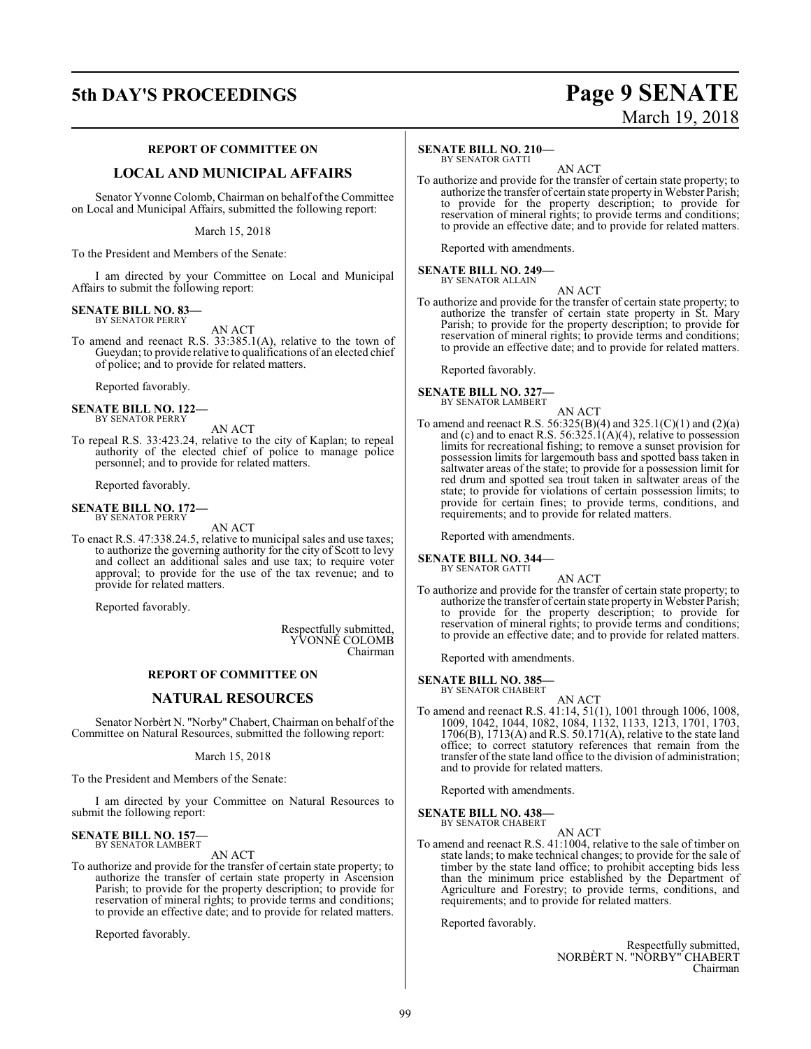# **5th DAY'S PROCEEDINGS Page 9 SENATE**

# March 19, 2018

# **REPORT OF COMMITTEE ON**

# **LOCAL AND MUNICIPAL AFFAIRS**

Senator Yvonne Colomb, Chairman on behalf of the Committee on Local and Municipal Affairs, submitted the following report:

March 15, 2018

To the President and Members of the Senate:

I am directed by your Committee on Local and Municipal Affairs to submit the following report:

#### **SENATE BILL NO. 83—** BY SENATOR PERRY

AN ACT

To amend and reenact R.S. 33:385.1(A), relative to the town of Gueydan; to provide relative to qualifications of an elected chief of police; and to provide for related matters.

Reported favorably.

#### **SENATE BILL NO. 122—** BY SENATOR PERRY

AN ACT

To repeal R.S. 33:423.24, relative to the city of Kaplan; to repeal authority of the elected chief of police to manage police personnel; and to provide for related matters.

Reported favorably.

## **SENATE BILL NO. 172—** BY SENATOR PERRY

# AN ACT

To enact R.S. 47:338.24.5, relative to municipal sales and use taxes; to authorize the governing authority for the city of Scott to levy and collect an additional sales and use tax; to require voter approval; to provide for the use of the tax revenue; and to provide for related matters.

Reported favorably.

Respectfully submitted, YVONNE COLOMB Chairman

# **REPORT OF COMMITTEE ON**

# **NATURAL RESOURCES**

Senator Norbèrt N. "Norby" Chabert, Chairman on behalf ofthe Committee on Natural Resources, submitted the following report:

March 15, 2018

To the President and Members of the Senate:

I am directed by your Committee on Natural Resources to submit the following report:

### **SENATE BILL NO. 157** BY SENATOR LAMBERT

AN ACT

To authorize and provide for the transfer of certain state property; to authorize the transfer of certain state property in Ascension Parish; to provide for the property description; to provide for reservation of mineral rights; to provide terms and conditions; to provide an effective date; and to provide for related matters.

Reported favorably.

# **SENATE BILL NO. 210—**

BY SENATOR GATTI

AN ACT To authorize and provide for the transfer of certain state property; to authorize the transfer of certain state property in Webster Parish; to provide for the property description; to provide for reservation of mineral rights; to provide terms and conditions; to provide an effective date; and to provide for related matters.

Reported with amendments.

#### **SENATE BILL NO. 249—** BY SENATOR ALLAIN

AN ACT To authorize and provide for the transfer of certain state property; to authorize the transfer of certain state property in St. Mary Parish; to provide for the property description; to provide for reservation of mineral rights; to provide terms and conditions; to provide an effective date; and to provide for related matters.

Reported favorably.

**SENATE BILL NO. 327—** BY SENATOR LAMBERT

- AN ACT
- To amend and reenact R.S. 56:325(B)(4) and 325.1(C)(1) and (2)(a) and (c) and to enact R.S.  $56:325.1(A)(4)$ , relative to possession limits for recreational fishing; to remove a sunset provision for possession limits for largemouth bass and spotted bass taken in saltwater areas of the state; to provide for a possession limit for red drum and spotted sea trout taken in saltwater areas of the state; to provide for violations of certain possession limits; to provide for certain fines; to provide terms, conditions, and requirements; and to provide for related matters.

Reported with amendments.

## **SENATE BILL NO. 344—** BY SENATOR GATTI

- AN ACT
- To authorize and provide for the transfer of certain state property; to authorize the transfer of certain state property in Webster Parish; to provide for the property description; to provide for reservation of mineral rights; to provide terms and conditions; to provide an effective date; and to provide for related matters.

Reported with amendments.

# **SENATE BILL NO. 385—**

BY SENATOR CHABERT

AN ACT To amend and reenact R.S. 41:14, 51(1), 1001 through 1006, 1008, 1009, 1042, 1044, 1082, 1084, 1132, 1133, 1213, 1701, 1703, 1706(B), 1713(A) and R.S. 50.171(A), relative to the state land office; to correct statutory references that remain from the transfer of the state land office to the division of administration; and to provide for related matters.

Reported with amendments.

**SENATE BILL NO. 438—**

BY SENATOR CHABERT

AN ACT

To amend and reenact R.S. 41:1004, relative to the sale of timber on state lands; to make technical changes; to provide for the sale of timber by the state land office; to prohibit accepting bids less than the minimum price established by the Department of Agriculture and Forestry; to provide terms, conditions, and requirements; and to provide for related matters.

Reported favorably.

Respectfully submitted, NORBÈRT N. "NORBY" CHABERT Chairman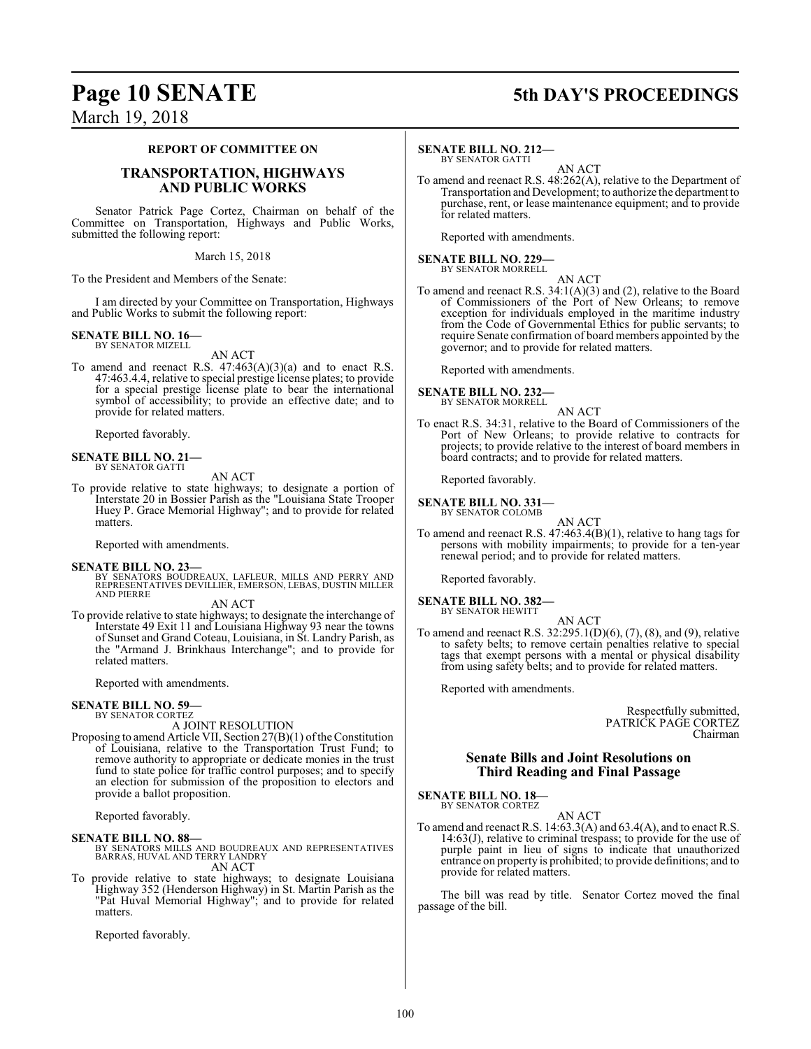# **Page 10 SENATE 5th DAY'S PROCEEDINGS**

# March 19, 2018

# **REPORT OF COMMITTEE ON**

# **TRANSPORTATION, HIGHWAYS AND PUBLIC WORKS**

Senator Patrick Page Cortez, Chairman on behalf of the Committee on Transportation, Highways and Public Works, submitted the following report:

March 15, 2018

To the President and Members of the Senate:

I am directed by your Committee on Transportation, Highways and Public Works to submit the following report:

#### **SENATE BILL NO. 16—** BY SENATOR MIZELL

AN ACT

To amend and reenact R.S.  $47:463(A)(3)(a)$  and to enact R.S. 47:463.4.4, relative to special prestige license plates; to provide for a special prestige license plate to bear the international symbol of accessibility; to provide an effective date; and to provide for related matters.

Reported favorably.

# **SENATE BILL NO. 21—** BY SENATOR GATTI

AN ACT

To provide relative to state highways; to designate a portion of Interstate 20 in Bossier Parish as the "Louisiana State Trooper Huey P. Grace Memorial Highway"; and to provide for related matters.

Reported with amendments.

**SENATE BILL NO. 23—** BY SENATORS BOUDREAUX, LAFLEUR, MILLS AND PERRY AND REPRESENTATIVES DEVILLIER, EMERSON, LEBAS, DUSTIN MILLER AND PIERRE

# AN ACT

To provide relative to state highways; to designate the interchange of Interstate 49 Exit 11 and Louisiana Highway 93 near the towns of Sunset and Grand Coteau, Louisiana, in St. Landry Parish, as the "Armand J. Brinkhaus Interchange"; and to provide for related matters.

Reported with amendments.

# **SENATE BILL NO. 59—**

BY SENATOR CORTEZ A JOINT RESOLUTION

Proposing to amend Article VII, Section  $27(B)(1)$  of the Constitution of Louisiana, relative to the Transportation Trust Fund; to remove authority to appropriate or dedicate monies in the trust fund to state police for traffic control purposes; and to specify an election for submission of the proposition to electors and provide a ballot proposition.

Reported favorably.

**SENATE BILL NO. 88—**<br>BY SENATORS MILLS AND BOUDREAUX AND REPRESENTATIVES<br>BARRAS, HUVAL AND TERRY LANDRY AN ACT

To provide relative to state highways; to designate Louisiana Highway 352 (Henderson Highway) in St. Martin Parish as the "Pat Huval Memorial Highway"; and to provide for related matters.

Reported favorably.

# **SENATE BILL NO. 212—**

BY SENATOR GATTI AN ACT

To amend and reenact R.S. 48:262(A), relative to the Department of Transportation and Development; to authorize the department to purchase, rent, or lease maintenance equipment; and to provide for related matters.

Reported with amendments.

### **SENATE BILL NO. 229—** BY SENATOR MORRELL

AN ACT

To amend and reenact R.S. 34:1(A)(3) and (2), relative to the Board of Commissioners of the Port of New Orleans; to remove exception for individuals employed in the maritime industry from the Code of Governmental Ethics for public servants; to require Senate confirmation of board members appointed by the governor; and to provide for related matters.

Reported with amendments.

# **SENATE BILL NO. 232** BY SENATOR MORRELL

- AN ACT
- To enact R.S. 34:31, relative to the Board of Commissioners of the Port of New Orleans; to provide relative to contracts for projects; to provide relative to the interest of board members in board contracts; and to provide for related matters.

Reported favorably.

#### **SENATE BILL NO. 331—** BY SENATOR COLOMB

AN ACT

To amend and reenact R.S. 47:463.4(B)(1), relative to hang tags for persons with mobility impairments; to provide for a ten-year renewal period; and to provide for related matters.

Reported favorably.

## **SENATE BILL NO. 382—** BY SENATOR HEWITT

AN ACT

To amend and reenact R.S. 32:295.1(D)(6), (7), (8), and (9), relative to safety belts; to remove certain penalties relative to special tags that exempt persons with a mental or physical disability from using safety belts; and to provide for related matters.

Reported with amendments.

Respectfully submitted, PATRICK PAGE CORTEZ Chairman

# **Senate Bills and Joint Resolutions on Third Reading and Final Passage**

**SENATE BILL NO. 18—** BY SENATOR CORTEZ

AN ACT

To amend and reenact R.S. 14:63.3(A) and 63.4(A), and to enact R.S. 14:63(J), relative to criminal trespass; to provide for the use of purple paint in lieu of signs to indicate that unauthorized entrance on property is prohibited; to provide definitions; and to provide for related matters.

The bill was read by title. Senator Cortez moved the final passage of the bill.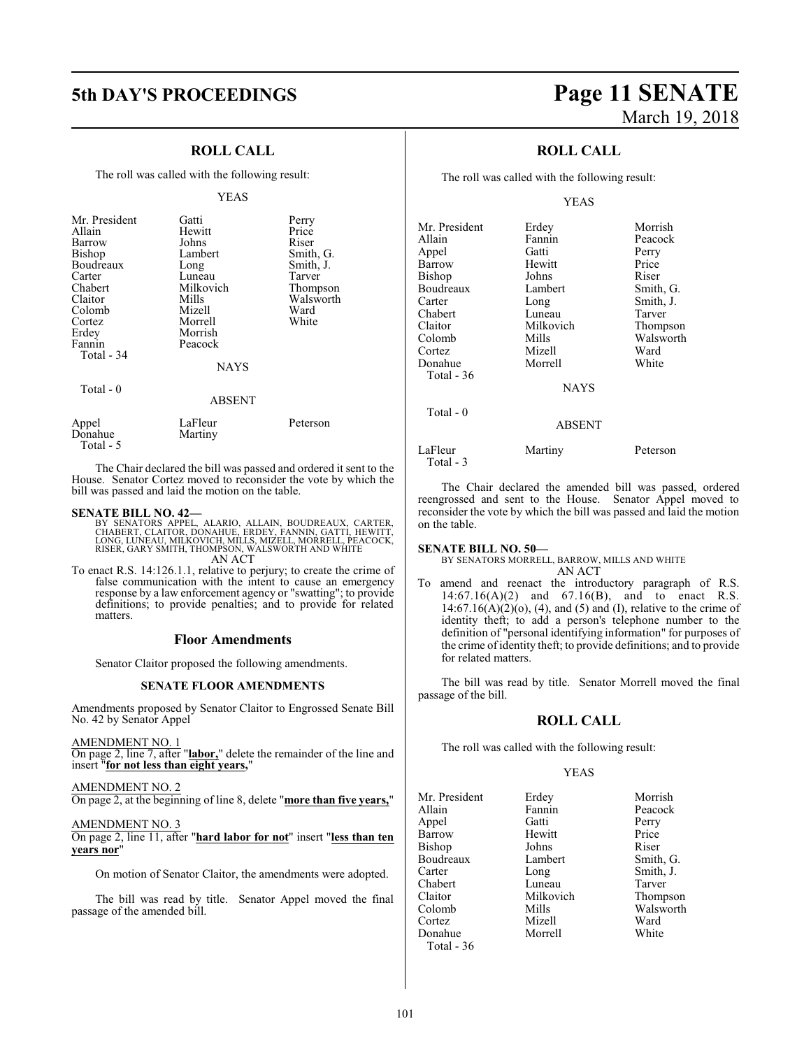# **ROLL CALL**

The roll was called with the following result:

# YEAS

| Mr. President<br>Allain<br>Barrow<br><b>Bishop</b><br>Boudreaux<br>Carter<br>Chabert<br>Claitor<br>Colomb | Gatti<br>Hewitt<br>Johns<br>Lambert<br>Long<br>Luneau<br>Milkovich<br>Mills<br>Mizell | Perry<br>Price<br>Riser<br>Smith, G.<br>Smith, J.<br>Tarver<br>Thompson<br>Walsworth<br>Ward |
|-----------------------------------------------------------------------------------------------------------|---------------------------------------------------------------------------------------|----------------------------------------------------------------------------------------------|
| Cortez                                                                                                    | Morrell                                                                               | White                                                                                        |
| Erdey<br>Fannin                                                                                           | Morrish<br>Peacock                                                                    |                                                                                              |
| Total - 34                                                                                                | <b>NAYS</b>                                                                           |                                                                                              |
|                                                                                                           |                                                                                       |                                                                                              |
| Total - 0                                                                                                 | <b>ABSENT</b>                                                                         |                                                                                              |
| Appel<br>Donahue                                                                                          | LaFleur<br>Martiny                                                                    | Peterson                                                                                     |

The Chair declared the bill was passed and ordered it sent to the House. Senator Cortez moved to reconsider the vote by which the bill was passed and laid the motion on the table.

Total - 5

- **SENATE BILL NO. 42—**<br>BY SENATORS APPEL, ALARIO, ALLAIN, BOUDREAUX, CARTER, CLAITOR, DONAHUE, ERDEY, FANNIN, GATTI, HEWITT,<br>LONG, LUNEAU, MILKOVICH, MILLS, MIZELL, MORRELL, PEACOCK,<br>RISER, GARY SMITH, THOMPSON, WALSWORTH A AN ACT
- To enact R.S. 14:126.1.1, relative to perjury; to create the crime of false communication with the intent to cause an emergency response by a law enforcement agency or "swatting"; to provide definitions; to provide penalties; and to provide for related matters.

# **Floor Amendments**

Senator Claitor proposed the following amendments.

# **SENATE FLOOR AMENDMENTS**

Amendments proposed by Senator Claitor to Engrossed Senate Bill No. 42 by Senator Appel

# AMENDMENT NO. 1

On page 2, line 7, after "**labor,**" delete the remainder of the line and insert "**for not less than eight years,**"

# AMENDMENT NO. 2

On page 2, at the beginning of line 8, delete "**more than five years,**"

# AMENDMENT NO. 3

On page 2, line 11, after "**hard labor for not**" insert "**less than ten years nor**"

On motion of Senator Claitor, the amendments were adopted.

The bill was read by title. Senator Appel moved the final passage of the amended bill.

# **5th DAY'S PROCEEDINGS Page 11 SENATE** March 19, 2018

# **ROLL CALL**

The roll was called with the following result:

# YEAS

| Mr. President         | Erdey         | Morrish   |
|-----------------------|---------------|-----------|
| Allain                | Fannin        | Peacock   |
| Appel                 | Gatti         | Perry     |
| Barrow                | Hewitt        | Price     |
| Bishop                | Johns         | Riser     |
| Boudreaux             | Lambert       | Smith, G. |
| Carter                | Long          | Smith, J. |
| Chabert               | Luneau        | Tarver    |
| Claitor               | Milkovich     | Thompson  |
| Colomb                | Mills         | Walsworth |
| Cortez                | Mizell        | Ward      |
| Donahue               | Morrell       | White     |
| Total - 36            |               |           |
|                       | <b>NAYS</b>   |           |
| Total - 0             |               |           |
|                       | <b>ABSENT</b> |           |
| LaFleur<br>Total $-3$ | Martiny       | Peterson  |

The Chair declared the amended bill was passed, ordered reengrossed and sent to the House. Senator Appel moved to reconsider the vote by which the bill was passed and laid the motion on the table.

## **SENATE BILL NO. 50—**

BY SENATORS MORRELL, BARROW, MILLS AND WHITE AN ACT

To amend and reenact the introductory paragraph of R.S. 14:67.16(A)(2) and 67.16(B), and to enact R.S. 14:67.16(A)(2)(o), (4), and (5) and (I), relative to the crime of identity theft; to add a person's telephone number to the definition of "personal identifying information" for purposes of the crime of identity theft; to provide definitions; and to provide for related matters.

The bill was read by title. Senator Morrell moved the final passage of the bill.

# **ROLL CALL**

The roll was called with the following result:

# YEAS

Mr. President Erdey Morrish<br>Allain Fannin Peacock Appel Barrow Hewitt Price<br>Bishop Johns Riser Bishop Johns Riser<br>Boudreaux Lambert Smith, G. Boudreaux Lamb<br>Carter Long Chabert Luneau<br>Claitor Milkovich Claitor Milkovich Thompson Cortez Mizell Ward Donahue Morrell White Total - 36

Fannin Peacock<br>Gatti Perry Long Smith, J.<br>
Luneau Tarver Mills Walsworth<br>
Mizell Ward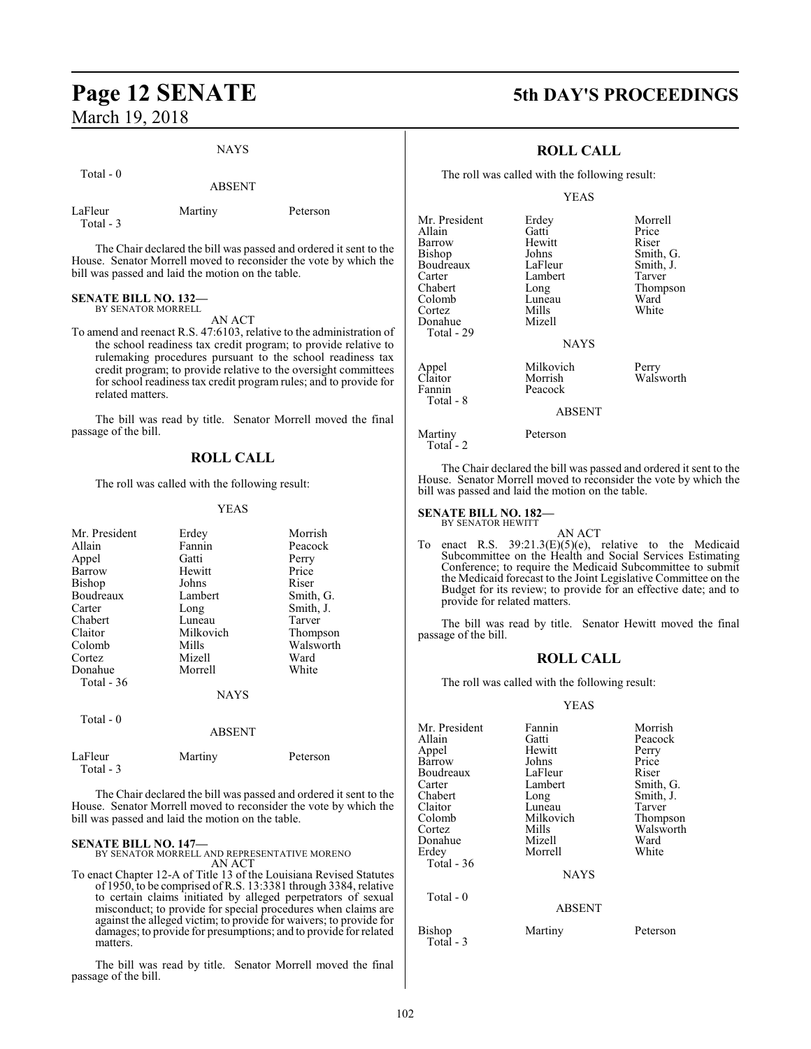# NAYS

| Total - 0 |               |
|-----------|---------------|
|           | <b>ABSENT</b> |
|           |               |

LaFleur Martiny Peterson

The Chair declared the bill was passed and ordered it sent to the House. Senator Morrell moved to reconsider the vote by which the bill was passed and laid the motion on the table.

# **SENATE BILL NO. 132—**

Total - 3

BY SENATOR MORRELL

AN ACT

To amend and reenact R.S. 47:6103, relative to the administration of the school readiness tax credit program; to provide relative to rulemaking procedures pursuant to the school readiness tax credit program; to provide relative to the oversight committees for school readiness tax credit program rules; and to provide for related matters.

The bill was read by title. Senator Morrell moved the final passage of the bill.

# **ROLL CALL**

The roll was called with the following result:

# YEAS

|             | Morrish   |
|-------------|-----------|
| Fannin      | Peacock   |
| Gatti       | Perry     |
| Hewitt      | Price     |
| Johns       | Riser     |
| Lambert     | Smith, G. |
| Long        | Smith, J. |
| Luneau      | Tarver    |
| Milkovich   | Thompson  |
| Mills       | Walsworth |
| Mizell      | Ward      |
| Morrell     | White     |
|             |           |
| <b>NAYS</b> |           |
|             |           |
| ABSENT      |           |
|             | Erdey     |

The Chair declared the bill was passed and ordered it sent to the House. Senator Morrell moved to reconsider the vote by which the

LaFleur Martiny Peterson

bill was passed and laid the motion on the table.

Total - 3

**SENATE BILL NO. 147—** BY SENATOR MORRELL AND REPRESENTATIVE MORENO AN ACT

To enact Chapter 12-A of Title 13 of the Louisiana Revised Statutes of 1950, to be comprised of R.S. 13:3381 through 3384, relative to certain claims initiated by alleged perpetrators of sexual misconduct; to provide for special procedures when claims are against the alleged victim; to provide for waivers; to provide for damages; to provide for presumptions; and to provide for related matters.

The bill was read by title. Senator Morrell moved the final passage of the bill.

# **Page 12 SENATE 5th DAY'S PROCEEDINGS**

# **ROLL CALL**

The roll was called with the following result:

# YEAS

| Mr. President | Erdey         | Morrell   |
|---------------|---------------|-----------|
| Allain        | Gatti         | Price     |
| Barrow        | Hewitt        | Riser     |
| <b>Bishop</b> | Johns         | Smith, G. |
| Boudreaux     | LaFleur       | Smith, J. |
| Carter        | Lambert       | Tarver    |
| Chabert       | Long          | Thompson  |
| Colomb        | Luneau        | Ward      |
| Cortez        | Mills         | White     |
| Donahue       | Mizell        |           |
| Total - 29    |               |           |
|               | <b>NAYS</b>   |           |
| Appel         | Milkovich     | Perry     |
| Claitor       | Morrish       | Walsworth |
| Fannin        | Peacock       |           |
| Total - 8     |               |           |
|               | <b>ARSENT</b> |           |

### ABSENT

Martiny Peterson Total - 2

The Chair declared the bill was passed and ordered it sent to the House. Senator Morrell moved to reconsider the vote by which the bill was passed and laid the motion on the table.

# **SENATE BILL NO. 182—**

BY SENATOR HEWITT

AN ACT To enact R.S.  $39:21.3(E)(5)(e)$ , relative to the Medicaid Subcommittee on the Health and Social Services Estimating Conference; to require the Medicaid Subcommittee to submit the Medicaid forecast to the Joint Legislative Committee on the Budget for its review; to provide for an effective date; and to provide for related matters.

The bill was read by title. Senator Hewitt moved the final passage of the bill.

# **ROLL CALL**

The roll was called with the following result:

| Mr. President       | Fannin        | Morrish   |
|---------------------|---------------|-----------|
| Allain              | Gatti         | Peacock   |
| Appel               | Hewitt        | Perry     |
| Barrow              | Johns         | Price     |
| Boudreaux           | LaFleur       | Riser     |
| Carter              | Lambert       | Smith, G. |
| Chabert             | Long          | Smith, J. |
| Claitor             | Luneau        | Tarver    |
| Colomb              | Milkovich     | Thompson  |
| Cortez              | Mills         | Walsworth |
| Donahue             | Mizell        | Ward      |
| Erdev               | Morrell       | White     |
| Total - 36          |               |           |
|                     | <b>NAYS</b>   |           |
| Total - 0           |               |           |
|                     | <b>ABSENT</b> |           |
| Bishop<br>Total - 3 | Martiny       | Peterson  |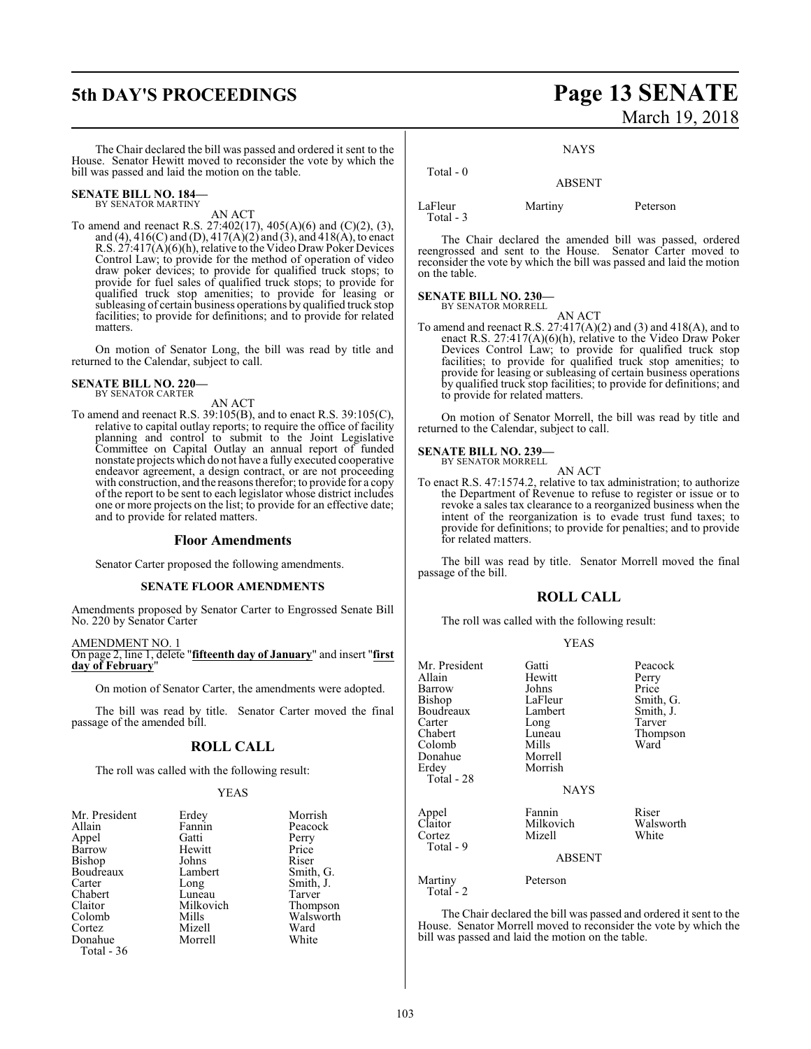# **5th DAY'S PROCEEDINGS Page 13 SENATE** March 19, 2018

The Chair declared the bill was passed and ordered it sent to the House. Senator Hewitt moved to reconsider the vote by which the bill was passed and laid the motion on the table.

## **SENATE BILL NO. 184—** BY SENATOR MARTINY

AN ACT

To amend and reenact R.S. 27:402(17), 405(A)(6) and (C)(2), (3), and (4), 416(C) and (D), 417(A)(2) and (3), and 418(A), to enact R.S. 27:417(A)(6)(h), relative to the Video Draw Poker Devices Control Law; to provide for the method of operation of video draw poker devices; to provide for qualified truck stops; to provide for fuel sales of qualified truck stops; to provide for qualified truck stop amenities; to provide for leasing or subleasing of certain business operations by qualified truck stop facilities; to provide for definitions; and to provide for related matters.

On motion of Senator Long, the bill was read by title and returned to the Calendar, subject to call.

# **SENATE BILL NO. 220—** BY SENATOR CARTER

# AN ACT

To amend and reenact R.S. 39:105(B), and to enact R.S. 39:105(C), relative to capital outlay reports; to require the office of facility planning and control to submit to the Joint Legislative Committee on Capital Outlay an annual report of funded nonstate projects which do not have a fully executed cooperative endeavor agreement, a design contract, or are not proceeding with construction, and the reasons therefor; to provide for a copy of the report to be sent to each legislator whose district includes one or more projects on the list; to provide for an effective date; and to provide for related matters.

# **Floor Amendments**

Senator Carter proposed the following amendments.

# **SENATE FLOOR AMENDMENTS**

Amendments proposed by Senator Carter to Engrossed Senate Bill No. 220 by Senator Carter

# AMENDMENT NO. 1

On page 2, line 1, delete "**fifteenth day of January**" and insert "**first day of February**"

On motion of Senator Carter, the amendments were adopted.

The bill was read by title. Senator Carter moved the final passage of the amended bill.

# **ROLL CALL**

The roll was called with the following result:

# YEAS

| Mr. President | Erdey     | Morrish   |
|---------------|-----------|-----------|
| Allain        | Fannin    | Peacock   |
| Appel         | Gatti     | Perry     |
| Barrow        | Hewitt    | Price     |
| <b>Bishop</b> | Johns     | Riser     |
| Boudreaux     | Lambert   | Smith, G. |
| Carter        | Long      | Smith, J. |
| Chabert       | Luneau    | Tarver    |
| Claitor       | Milkovich | Thompson  |
| Colomb        | Mills     | Walsworth |
| Cortez        | Mizell    | Ward      |
| Donahue       | Morrell   | White     |
| Total - 36    |           |           |

# **NAYS**

# ABSENT

LaFleur Martiny Peterson Total - 3

Total - 0

The Chair declared the amended bill was passed, ordered reengrossed and sent to the House. Senator Carter moved to reconsider the vote by which the bill was passed and laid the motion on the table.

## **SENATE BILL NO. 230—** BY SENATOR MORRELL

AN ACT

To amend and reenact R.S.  $27:417(A)(2)$  and  $(3)$  and  $418(A)$ , and to enact R.S. 27:417(A)(6)(h), relative to the Video Draw Poker Devices Control Law; to provide for qualified truck stop facilities; to provide for qualified truck stop amenities; to provide for leasing or subleasing of certain business operations by qualified truck stop facilities; to provide for definitions; and to provide for related matters.

On motion of Senator Morrell, the bill was read by title and returned to the Calendar, subject to call.

# **SENATE BILL NO. 239—**

BY SENATOR MORRELL AN ACT

To enact R.S. 47:1574.2, relative to tax administration; to authorize the Department of Revenue to refuse to register or issue or to revoke a sales tax clearance to a reorganized business when the intent of the reorganization is to evade trust fund taxes; to provide for definitions; to provide for penalties; and to provide for related matters.

The bill was read by title. Senator Morrell moved the final passage of the bill.

# **ROLL CALL**

The roll was called with the following result:

| v<br>۰. |
|---------|
|---------|

| Mr. President<br>Allain<br>Barrow<br>Bishop<br>Boudreaux<br>Carter<br>Chabert<br>Colomb<br>Donahue<br>Erdey<br>Total - 28 | Gatti<br>Hewitt<br>Johns<br>LaFleur<br>Lambert<br>Long<br>Luneau<br>Mills<br>Morrell<br>Morrish<br><b>NAYS</b> | Peacock<br>Perry<br>Price<br>Smith, G.<br>Smith, J.<br>Tarver<br>Thompson<br>Ward |
|---------------------------------------------------------------------------------------------------------------------------|----------------------------------------------------------------------------------------------------------------|-----------------------------------------------------------------------------------|
| Appel<br>Claitor<br>Cortez<br>Total - 9                                                                                   | Fannin<br>Milkovich<br>Mizell<br><b>ABSENT</b>                                                                 | Riser<br>Walsworth<br>White                                                       |
| Martiny<br>Total - 2                                                                                                      | Peterson                                                                                                       |                                                                                   |

The Chair declared the bill was passed and ordered it sent to the House. Senator Morrell moved to reconsider the vote by which the bill was passed and laid the motion on the table.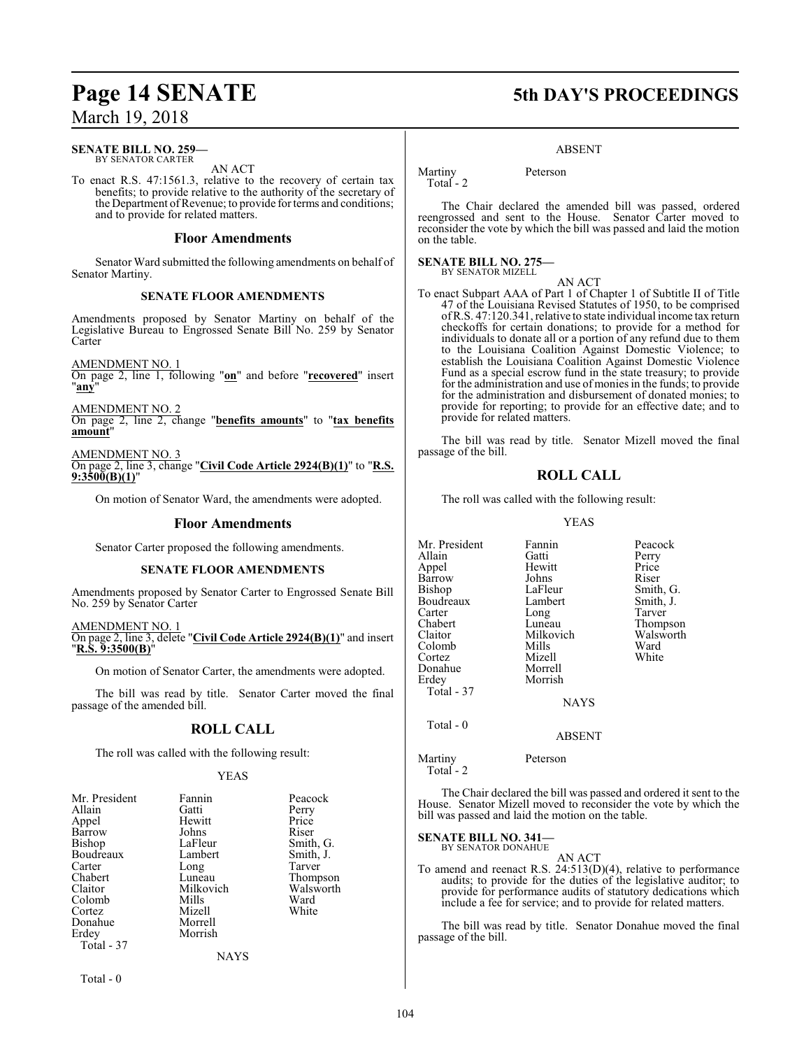# **SENATE BILL NO. 259—**

BY SENATOR CARTER AN ACT

To enact R.S. 47:1561.3, relative to the recovery of certain tax benefits; to provide relative to the authority of the secretary of the Department of Revenue; to provide for terms and conditions; and to provide for related matters.

# **Floor Amendments**

Senator Ward submitted the following amendments on behalf of Senator Martiny.

# **SENATE FLOOR AMENDMENTS**

Amendments proposed by Senator Martiny on behalf of the Legislative Bureau to Engrossed Senate Bill No. 259 by Senator Carter

AMENDMENT NO. 1

On page 2, line 1, following "**on**" and before "**recovered**" insert "**any**"

AMENDMENT NO. 2

On page 2, line 2, change "**benefits amounts**" to "**tax benefits amount**"

AMENDMENT NO. 3

On page 2, line 3, change "**Civil Code Article 2924(B)(1)**" to "**R.S. 9:3500(B)(1)**"

On motion of Senator Ward, the amendments were adopted.

# **Floor Amendments**

Senator Carter proposed the following amendments.

# **SENATE FLOOR AMENDMENTS**

Amendments proposed by Senator Carter to Engrossed Senate Bill No. 259 by Senator Carter

AMENDMENT NO. 1 On page 2, line 3, delete "**Civil Code Article 2924(B)(1)**" and insert "**R.S. 9:3500(B)**"

On motion of Senator Carter, the amendments were adopted.

The bill was read by title. Senator Carter moved the final passage of the amended bill.

# **ROLL CALL**

The roll was called with the following result:

# YEAS

| Mr. President<br>Fannin<br>Gatti<br>Hewitt<br>Johns<br>LaFleur<br>Lambert<br>Long<br>Luneau<br>Milkovich<br>Mills<br>Mizell<br>Morrell<br>Morrish | Peacock<br>Perry<br>Price<br>Riser<br>Smith, G.<br>Smith, J.<br>Tarver<br>Thompson<br>Walsworth<br>Ward<br>White |
|---------------------------------------------------------------------------------------------------------------------------------------------------|------------------------------------------------------------------------------------------------------------------|
| NAYS                                                                                                                                              |                                                                                                                  |
|                                                                                                                                                   |                                                                                                                  |

Total - 0

# **Page 14 SENATE 5th DAY'S PROCEEDINGS**

# ABSENT

Martiny Peterson Total - 2

The Chair declared the amended bill was passed, ordered reengrossed and sent to the House. Senator Carter moved to reconsider the vote by which the bill was passed and laid the motion on the table.

#### **SENATE BILL NO. 275—** BY SENATOR MIZELL

AN ACT To enact Subpart AAA of Part 1 of Chapter 1 of Subtitle II of Title 47 of the Louisiana Revised Statutes of 1950, to be comprised ofR.S. 47:120.341, relative to state individual income tax return checkoffs for certain donations; to provide for a method for individuals to donate all or a portion of any refund due to them to the Louisiana Coalition Against Domestic Violence; to establish the Louisiana Coalition Against Domestic Violence Fund as a special escrow fund in the state treasury; to provide for the administration and use of monies in the funds; to provide for the administration and disbursement of donated monies; to provide for reporting; to provide for an effective date; and to provide for related matters.

The bill was read by title. Senator Mizell moved the final passage of the bill.

# **ROLL CALL**

The roll was called with the following result:

# YEAS

| Mr. President<br>Allain<br>Appel<br><b>Barrow</b><br>Bishop<br>Boudreaux<br>Carter<br>Chabert<br>Claitor<br>Colomb<br>Cortez | Fannin<br>Gatti<br>Hewitt<br>Johns<br>LaFleur<br>Lambert<br>Long<br>Luneau<br>Milkovich<br>Mills<br>Mizell | Peacock<br>Perry<br>Price<br>Riser<br>Smith, G.<br>Smith, J.<br>Tarver<br>Thompson<br>Walsworth<br>Ward<br>White |
|------------------------------------------------------------------------------------------------------------------------------|------------------------------------------------------------------------------------------------------------|------------------------------------------------------------------------------------------------------------------|
|                                                                                                                              |                                                                                                            |                                                                                                                  |
|                                                                                                                              |                                                                                                            |                                                                                                                  |
|                                                                                                                              |                                                                                                            |                                                                                                                  |
| Donahue                                                                                                                      | Morrell                                                                                                    |                                                                                                                  |
| Erdev                                                                                                                        | Morrish                                                                                                    |                                                                                                                  |
| Total - 37                                                                                                                   |                                                                                                            |                                                                                                                  |
|                                                                                                                              | <b>NAYS</b>                                                                                                |                                                                                                                  |
| Total - 0                                                                                                                    |                                                                                                            |                                                                                                                  |
|                                                                                                                              | <b>ABSENT</b>                                                                                              |                                                                                                                  |
|                                                                                                                              |                                                                                                            |                                                                                                                  |

Martiny Peterson Total - 2

The Chair declared the bill was passed and ordered it sent to the House. Senator Mizell moved to reconsider the vote by which the bill was passed and laid the motion on the table.

**SENATE BILL NO. 341—**

BY SENATOR DONAHUE

AN ACT To amend and reenact R.S. 24:513(D)(4), relative to performance audits; to provide for the duties of the legislative auditor; to provide for performance audits of statutory dedications which include a fee for service; and to provide for related matters.

The bill was read by title. Senator Donahue moved the final passage of the bill.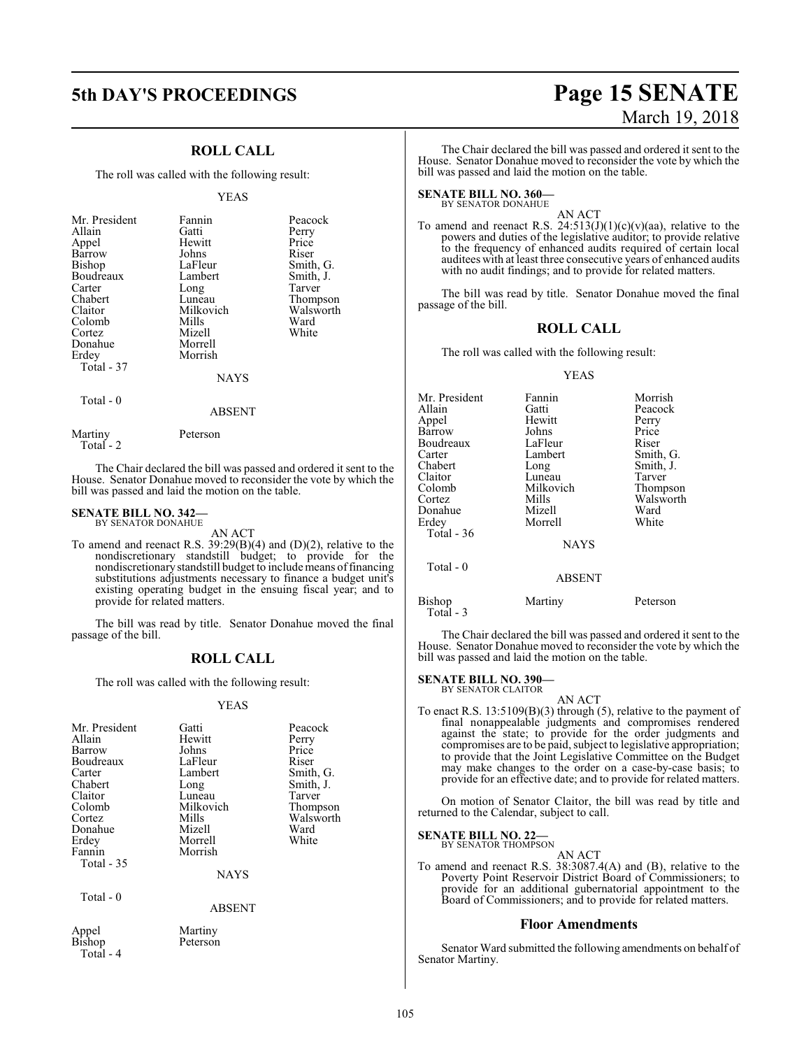# **ROLL CALL**

The roll was called with the following result:

# YEAS

| Mr. President<br>Allain<br>Appel<br>Barrow<br>Bishop<br>Boudreaux<br>Carter<br>Chabert<br>Claitor<br>Colomb<br>Cortez<br>Donahue<br>Erdey<br>Total - 37 | Fannin<br>Gatti<br>Hewitt<br>Johns<br>LaFleur<br>Lambert<br>Long<br>Luneau<br>Milkovich<br>Mills<br>Mizell<br>Morrell<br>Morrish<br><b>NAYS</b> | Peacock<br>Perry<br>Price<br>Riser<br>Smith, G.<br>Smith, J.<br>Tarver<br>Thompson<br>Walsworth<br>Ward<br>White |
|---------------------------------------------------------------------------------------------------------------------------------------------------------|-------------------------------------------------------------------------------------------------------------------------------------------------|------------------------------------------------------------------------------------------------------------------|
| Total - 0                                                                                                                                               |                                                                                                                                                 |                                                                                                                  |

Martiny Peterson

The Chair declared the bill was passed and ordered it sent to the House. Senator Donahue moved to reconsider the vote by which the bill was passed and laid the motion on the table.

ABSENT

### **SENATE BILL NO. 342—** BY SENATOR DONAHUE

Total - 2

AN ACT

To amend and reenact R.S. 39:29(B)(4) and (D)(2), relative to the nondiscretionary standstill budget; to provide for the nondiscretionarystandstill budget to include means offinancing substitutions adjustments necessary to finance a budget unit's existing operating budget in the ensuing fiscal year; and to provide for related matters.

The bill was read by title. Senator Donahue moved the final passage of the bill.

# **ROLL CALL**

The roll was called with the following result:

# YEAS

| Mr. President<br>Allain<br>Barrow<br>Boudreaux<br>Carter<br>Chabert<br>Claitor<br>Colomb<br>Cortez<br>Donahue<br>Erdey<br>Fannin<br>Total - 35 | Gatti<br>Hewitt<br>Johns<br>LaFleur<br>Lambert<br>Long<br>Luneau<br>Milkovich<br>Mills<br>Mizell<br>Morrell<br>Morrish | Peacock<br>Perry<br>Price<br>Riser<br>Smith, G.<br>Smith, J.<br>Tarver<br>Thompson<br>Walsworth<br>Ward<br>White |
|------------------------------------------------------------------------------------------------------------------------------------------------|------------------------------------------------------------------------------------------------------------------------|------------------------------------------------------------------------------------------------------------------|
|                                                                                                                                                | <b>NAYS</b>                                                                                                            |                                                                                                                  |
| Total - 0                                                                                                                                      | <b>ABSENT</b>                                                                                                          |                                                                                                                  |
| Appel<br>Bishop                                                                                                                                | Martiny<br>Peterson                                                                                                    |                                                                                                                  |

Total - 4

# **5th DAY'S PROCEEDINGS Page 15 SENATE** March 19, 2018

The Chair declared the bill was passed and ordered it sent to the House. Senator Donahue moved to reconsider the vote by which the bill was passed and laid the motion on the table.

**SENATE BILL NO. 360—** BY SENATOR DONAHUE

AN ACT

To amend and reenact R.S.  $24:513(J)(1)(c)(v)(aa)$ , relative to the powers and duties of the legislative auditor; to provide relative to the frequency of enhanced audits required of certain local auditees with at least three consecutive years of enhanced audits with no audit findings; and to provide for related matters.

The bill was read by title. Senator Donahue moved the final passage of the bill.

# **ROLL CALL**

The roll was called with the following result:

### YEAS

| Mr. President | Fannin        | Morrish   |
|---------------|---------------|-----------|
| Allain        | Gatti         | Peacock   |
| Appel         | Hewitt        | Perry     |
| Barrow        | Johns         | Price     |
| Boudreaux     | LaFleur       | Riser     |
| Carter        | Lambert       | Smith, G. |
| Chabert       | Long          | Smith, J. |
| Claitor       | Luneau        | Tarver    |
| Colomb        | Milkovich     | Thompson  |
| Cortez        | Mills         | Walsworth |
| Donahue       | Mizell        | Ward      |
| Erdey         | Morrell       | White     |
| Total - 36    |               |           |
|               | <b>NAYS</b>   |           |
| Total - 0     |               |           |
|               | <b>ABSENT</b> |           |
|               |               |           |

Bishop Martiny Peterson Total - 3

The Chair declared the bill was passed and ordered it sent to the House. Senator Donahue moved to reconsider the vote by which the bill was passed and laid the motion on the table.

# **SENATE BILL NO. 390—**

BY SENATOR CLAITOR AN ACT

To enact R.S. 13:5109(B)(3) through (5), relative to the payment of final nonappealable judgments and compromises rendered against the state; to provide for the order judgments and compromises are to be paid, subject to legislative appropriation; to provide that the Joint Legislative Committee on the Budget may make changes to the order on a case-by-case basis; to provide for an effective date; and to provide for related matters.

On motion of Senator Claitor, the bill was read by title and returned to the Calendar, subject to call.

**SENATE BILL NO. 22—**

BY SENATOR THOMPSON AN ACT

To amend and reenact R.S. 38:3087.4(A) and (B), relative to the Poverty Point Reservoir District Board of Commissioners; to provide for an additional gubernatorial appointment to the Board of Commissioners; and to provide for related matters.

# **Floor Amendments**

Senator Ward submitted the following amendments on behalf of Senator Martiny.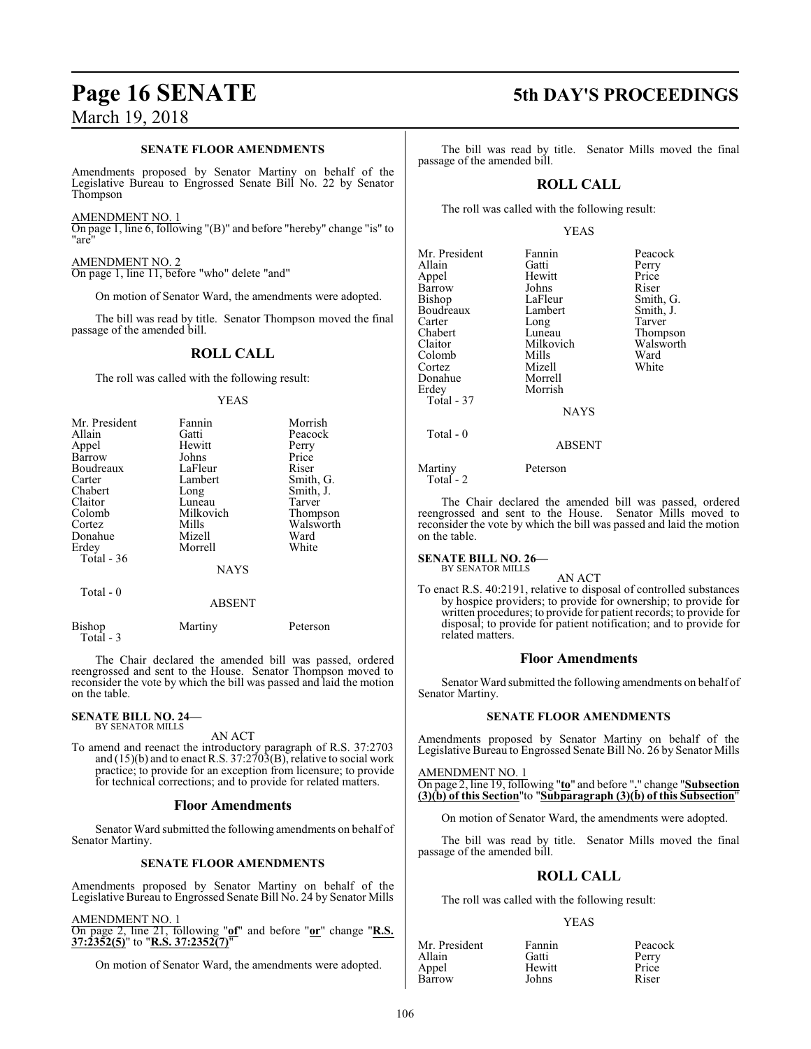# **SENATE FLOOR AMENDMENTS**

Amendments proposed by Senator Martiny on behalf of the Legislative Bureau to Engrossed Senate Bill No. 22 by Senator Thompson

AMENDMENT NO. 1

On page 1, line 6, following "(B)" and before "hereby" change "is" to "are"

AMENDMENT NO. 2 On page 1, line 11, before "who" delete "and"

On motion of Senator Ward, the amendments were adopted.

The bill was read by title. Senator Thompson moved the final passage of the amended bill.

# **ROLL CALL**

The roll was called with the following result:

# YEAS

| Mr. President | Fannin        | Morrish   |
|---------------|---------------|-----------|
| Allain        | Gatti         | Peacock   |
| Appel         | Hewitt        | Perry     |
| Barrow        | Johns         | Price     |
| Boudreaux     | LaFleur       | Riser     |
| Carter        | Lambert       | Smith, G. |
| Chabert       | Long          | Smith, J. |
| Claitor       | Luneau        | Tarver    |
| Colomb        | Milkovich     | Thompson  |
| Cortez        | Mills         | Walsworth |
| Donahue       | Mizell        | Ward      |
| Erdey         | Morrell       | White     |
| Total $-36$   |               |           |
|               | <b>NAYS</b>   |           |
| Total $-0$    |               |           |
|               | <b>ABSENT</b> |           |
|               |               |           |

Bishop Martiny Peterson Total - 3

The Chair declared the amended bill was passed, ordered reengrossed and sent to the House. Senator Thompson moved to reconsider the vote by which the bill was passed and laid the motion on the table.

**SENATE BILL NO. 24—** BY SENATOR MILLS

AN ACT

To amend and reenact the introductory paragraph of R.S. 37:2703 and (15)(b) and to enact R.S. 37:2703(B), relative to social work practice; to provide for an exception from licensure; to provide for technical corrections; and to provide for related matters.

# **Floor Amendments**

Senator Ward submitted the following amendments on behalf of Senator Martiny.

# **SENATE FLOOR AMENDMENTS**

Amendments proposed by Senator Martiny on behalf of the Legislative Bureau to Engrossed Senate Bill No. 24 by Senator Mills

# AMENDMENT NO. 1

On page 2, line 21, following "**of**" and before "**or**" change "**R.S. 37:2352(5)**" to "**R.S. 37:2352(7)**"

On motion of Senator Ward, the amendments were adopted.

# **Page 16 SENATE 5th DAY'S PROCEEDINGS**

The bill was read by title. Senator Mills moved the final passage of the amended bill.

# **ROLL CALL**

The roll was called with the following result:

# YEAS

| Mr. President | Fannin    | Peacock         |
|---------------|-----------|-----------------|
| Allain        | Gatti     | Perry           |
| Appel         | Hewitt    | Price           |
| Barrow        | Johns     | Riser           |
| <b>Bishop</b> | LaFleur   | Smith, G.       |
| Boudreaux     | Lambert   | Smith, J.       |
| Carter        | Long      | Tarver          |
| Chabert       | Luneau    | <b>Thompson</b> |
| Claitor       | Milkovich | Walswort        |
| Colomb        | Mills     | Ward            |
| Cortez        | Mizell    | White           |
| Donahue       | Morrell   |                 |
| Erdey         | Morrish   |                 |
| Total - 37    |           |                 |
|               | NAYS      |                 |
|               |           |                 |

Example 2 and Tarver reau Thompson<br>Covich Walsworth Walsworth<br>Ward ell White<br>rell

ABSENT

Martiny Peterson Total - 2

Total - 0

The Chair declared the amended bill was passed, ordered reengrossed and sent to the House. Senator Mills moved to reconsider the vote by which the bill was passed and laid the motion on the table.

#### **SENATE BILL NO. 26—** BY SENATOR MILLS

AN ACT

To enact R.S. 40:2191, relative to disposal of controlled substances by hospice providers; to provide for ownership; to provide for written procedures; to provide for patient records; to provide for disposal; to provide for patient notification; and to provide for related matters.

# **Floor Amendments**

Senator Ward submitted the following amendments on behalf of Senator Martiny.

# **SENATE FLOOR AMENDMENTS**

Amendments proposed by Senator Martiny on behalf of the Legislative Bureau to Engrossed Senate Bill No. 26 by Senator Mills

# AMENDMENT NO. 1

On page 2, line 19, following "**to**" and before "**.**" change "**Subsection (3)(b) of this Section**"to "**Subparagraph (3)(b) of this Subsection**"

On motion of Senator Ward, the amendments were adopted.

The bill was read by title. Senator Mills moved the final passage of the amended bill.

# **ROLL CALL**

The roll was called with the following result:

| Mr. President | Fannin | Peacock |
|---------------|--------|---------|
| Allain        | Gatti  | Perry   |
| Appel         | Hewitt | Price   |
| Barrow        | Johns  | Riser   |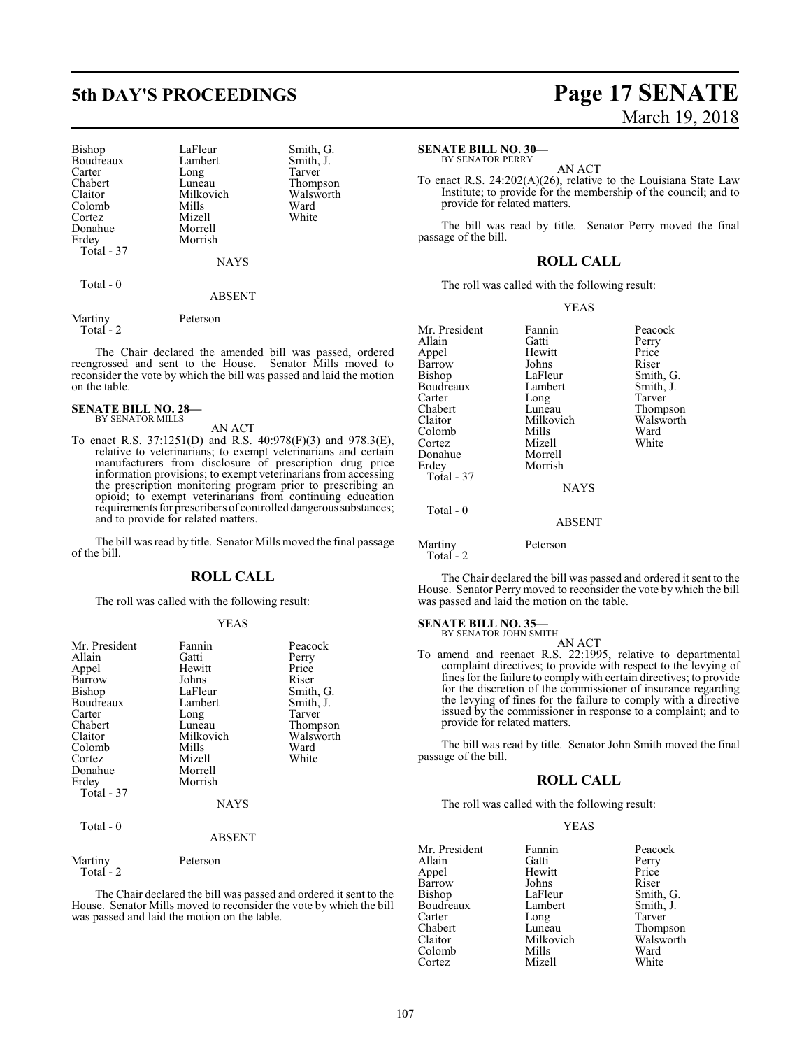Bishop LaFleur Smith, G.<br>Boudreaux Lambert Smith, J. Boudreaux Lambert Smith,<br>Carter Long Tarver Carter Long<br>Chabert Luneau Chabert Luneau Thompson<br>Claitor Milkovich Walsworth Colomb Mills Ward<br>Cortez Mizell White Cortez Mizell<br>Donahue Morrell Donahue<br>Erdey Total - 37

Milkovich Walsworth<br>
Mills Ward Morrish

NAYS

# Total - 0

# ABSENT

Martiny Peterson Total - 2

The Chair declared the amended bill was passed, ordered reengrossed and sent to the House. Senator Mills moved to reconsider the vote by which the bill was passed and laid the motion on the table.

### **SENATE BILL NO. 28—** BY SENATOR MILLS

AN ACT

To enact R.S. 37:1251(D) and R.S. 40:978(F)(3) and 978.3(E), relative to veterinarians; to exempt veterinarians and certain manufacturers from disclosure of prescription drug price information provisions; to exempt veterinarians from accessing the prescription monitoring program prior to prescribing an opioid; to exempt veterinarians from continuing education requirements for prescribers of controlled dangerous substances; and to provide for related matters.

The bill was read by title. Senator Mills moved the final passage of the bill.

# **ROLL CALL**

The roll was called with the following result:

# YEAS

| Mr. President<br>Allain<br>Appel<br>Barrow<br><b>Bishop</b><br>Boudreaux<br>Carter<br>Chabert<br>Claitor<br>Colomb<br>Cortez<br>Donahue<br>Erdey<br>Total - 37<br>Total - 0 | Fannin<br>Gatti<br>Hewitt<br>Johns<br>LaFleur<br>Lambert<br>Long<br>Luneau<br>Milkovich<br>Mills<br>Mizell<br>Morrell<br>Morrish<br><b>NAYS</b><br><b>ABSENT</b> | Peacock<br>Perry<br>Price<br>Riser<br>Smith, G.<br>Smith, J.<br>Tarver<br>Thompson<br>Walsworth<br>Ward<br>White |
|-----------------------------------------------------------------------------------------------------------------------------------------------------------------------------|------------------------------------------------------------------------------------------------------------------------------------------------------------------|------------------------------------------------------------------------------------------------------------------|
|                                                                                                                                                                             |                                                                                                                                                                  |                                                                                                                  |
| Martiny<br>Total $-2$                                                                                                                                                       | Peterson                                                                                                                                                         |                                                                                                                  |

The Chair declared the bill was passed and ordered it sent to the House. Senator Mills moved to reconsider the vote by which the bill was passed and laid the motion on the table.

# **5th DAY'S PROCEEDINGS Page 17 SENATE** March 19, 2018

### **SENATE BILL NO. 30—** BY SENATOR PERRY

AN ACT

To enact R.S. 24:202(A)(26), relative to the Louisiana State Law Institute; to provide for the membership of the council; and to provide for related matters.

The bill was read by title. Senator Perry moved the final passage of the bill.

# **ROLL CALL**

The roll was called with the following result:

# YEAS

| Fannin        | Peacock   |
|---------------|-----------|
| Gatti         | Perry     |
| Hewitt        | Price     |
| Johns         | Riser     |
| LaFleur       | Smith, G. |
| Lambert       | Smith, J. |
| Long          | Tarver    |
| Luneau        | Thompson  |
| Milkovich     | Walsworth |
| Mills         | Ward      |
| Mizell        | White     |
| Morrell       |           |
| Morrish       |           |
|               |           |
| <b>NAYS</b>   |           |
| <b>ABSENT</b> |           |
|               |           |

Martiny Peterson

Total - 2

The Chair declared the bill was passed and ordered it sent to the House. Senator Perry moved to reconsider the vote by which the bill was passed and laid the motion on the table.

# **SENATE BILL NO. 35—**<br>BY SENATOR JOHN SMITH

AN ACT

To amend and reenact R.S. 22:1995, relative to departmental complaint directives; to provide with respect to the levying of fines for the failure to comply with certain directives; to provide for the discretion of the commissioner of insurance regarding the levying of fines for the failure to comply with a directive issued by the commissioner in response to a complaint; and to provide for related matters.

The bill was read by title. Senator John Smith moved the final passage of the bill.

# **ROLL CALL**

The roll was called with the following result:

| Mr. President | Fannin    | Peacock   |
|---------------|-----------|-----------|
| Allain        | Gatti     | Perry     |
| Appel         | Hewitt    | Price     |
| Barrow        | Johns     | Riser     |
| Bishop        | LaFleur   | Smith, G. |
| Boudreaux     | Lambert   | Smith, J. |
| Carter        | Long      | Tarver    |
| Chabert       | Luneau    | Thompson  |
| Claitor       | Milkovich | Walsworth |
| Colomb        | Mills     | Ward      |
| Cortez        | Mizell    | White     |
|               |           |           |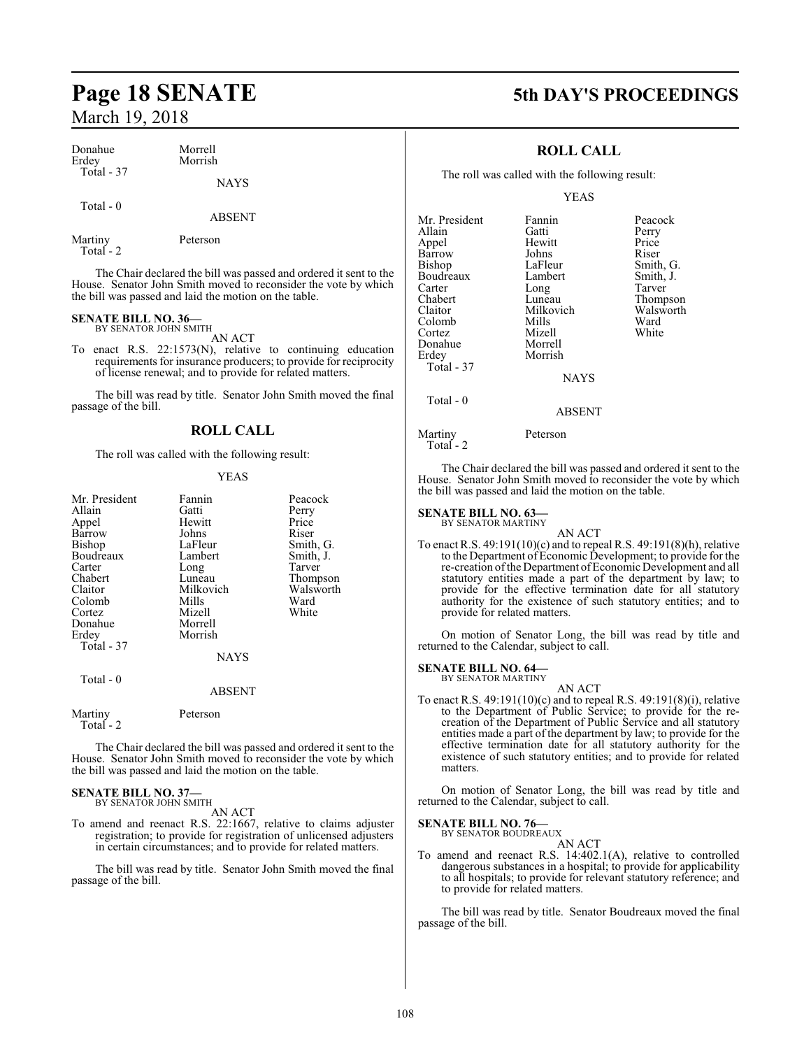| Donahue    | Morrell     |
|------------|-------------|
| Erdey      | Morrish     |
| Total - 37 | <b>NAYS</b> |

# Total - 0

ABSENT

Martiny Peterson Total - 2

The Chair declared the bill was passed and ordered it sent to the House. Senator John Smith moved to reconsider the vote by which the bill was passed and laid the motion on the table.

## **SENATE BILL NO. 36—** BY SENATOR JOHN SMITH

AN ACT

To enact R.S. 22:1573(N), relative to continuing education requirements for insurance producers; to provide for reciprocity of license renewal; and to provide for related matters.

The bill was read by title. Senator John Smith moved the final passage of the bill.

# **ROLL CALL**

The roll was called with the following result:

# YEAS

| Mr. President | Fannin      | Peacock   |
|---------------|-------------|-----------|
|               |             |           |
| Allain        | Gatti       | Perry     |
| Appel         | Hewitt      | Price     |
| Barrow        | Johns       | Riser     |
| Bishop        | LaFleur     | Smith, G. |
| Boudreaux     | Lambert     | Smith, J. |
| Carter        | Long        | Tarver    |
| Chabert       | Luneau      | Thompson  |
| Claitor       | Milkovich   | Walsworth |
| Colomb        | Mills       | Ward      |
| Cortez        | Mizell      | White     |
| Donahue       | Morrell     |           |
| Erdey         | Morrish     |           |
| Total - 37    |             |           |
|               | <b>NAYS</b> |           |
| Total - 0     |             |           |
|               | ABSENT      |           |

Martiny Peterson Total - 2

The Chair declared the bill was passed and ordered it sent to the House. Senator John Smith moved to reconsider the vote by which the bill was passed and laid the motion on the table.

# **SENATE BILL NO. 37—** BY SENATOR JOHN SMITH

AN ACT

To amend and reenact R.S. 22:1667, relative to claims adjuster registration; to provide for registration of unlicensed adjusters in certain circumstances; and to provide for related matters.

The bill was read by title. Senator John Smith moved the final passage of the bill.

# **Page 18 SENATE 5th DAY'S PROCEEDINGS**

# **ROLL CALL**

The roll was called with the following result:

# YEAS

| Mr. President<br>Allain<br>Appel<br>Barrow<br><b>Bishop</b><br>Boudreaux<br>Carter<br>Chabert | Fannin<br>Gatti<br>Hewitt<br>Johns<br>LaFleur<br>Lambert<br>Long<br>Luneau | Peacock<br>Perry<br>Price<br>Riser<br>Smith, G.<br>Smith, J.<br>Tarver<br>Thompson |
|-----------------------------------------------------------------------------------------------|----------------------------------------------------------------------------|------------------------------------------------------------------------------------|
| Claitor                                                                                       | Milkovich                                                                  | Walsworth                                                                          |
| Colomb                                                                                        | Mills                                                                      | Ward                                                                               |
| Cortez                                                                                        | Mizell                                                                     | White                                                                              |
| Donahue                                                                                       | Morrell                                                                    |                                                                                    |
| Erdey                                                                                         | Morrish                                                                    |                                                                                    |
| <b>Total - 37</b>                                                                             |                                                                            |                                                                                    |
|                                                                                               | <b>NAYS</b>                                                                |                                                                                    |
| Total $-0$                                                                                    |                                                                            |                                                                                    |
|                                                                                               | ABSENT                                                                     |                                                                                    |

Martiny Peterson

Total - 2

The Chair declared the bill was passed and ordered it sent to the House. Senator John Smith moved to reconsider the vote by which the bill was passed and laid the motion on the table.

### **SENATE BILL NO. 63—** BY SENATOR MARTINY

AN ACT To enact R.S. 49:191(10)(c) and to repeal R.S. 49:191(8)(h), relative to the Department of Economic Development; to provide for the re-creation of the Department of Economic Development and all statutory entities made a part of the department by law; to provide for the effective termination date for all statutory authority for the existence of such statutory entities; and to provide for related matters.

On motion of Senator Long, the bill was read by title and returned to the Calendar, subject to call.

## **SENATE BILL NO. 64—** BY SENATOR MARTINY

AN ACT To enact R.S. 49:191(10)(c) and to repeal R.S. 49:191(8)(i), relative to the Department of Public Service; to provide for the recreation of the Department of Public Service and all statutory entities made a part of the department by law; to provide for the effective termination date for all statutory authority for the existence of such statutory entities; and to provide for related matters.

On motion of Senator Long, the bill was read by title and returned to the Calendar, subject to call.

# **SENATE BILL NO. 76—**

BY SENATOR BOUDREAUX AN ACT

To amend and reenact R.S. 14:402.1(A), relative to controlled dangerous substances in a hospital; to provide for applicability to all hospitals; to provide for relevant statutory reference; and to provide for related matters.

The bill was read by title. Senator Boudreaux moved the final passage of the bill.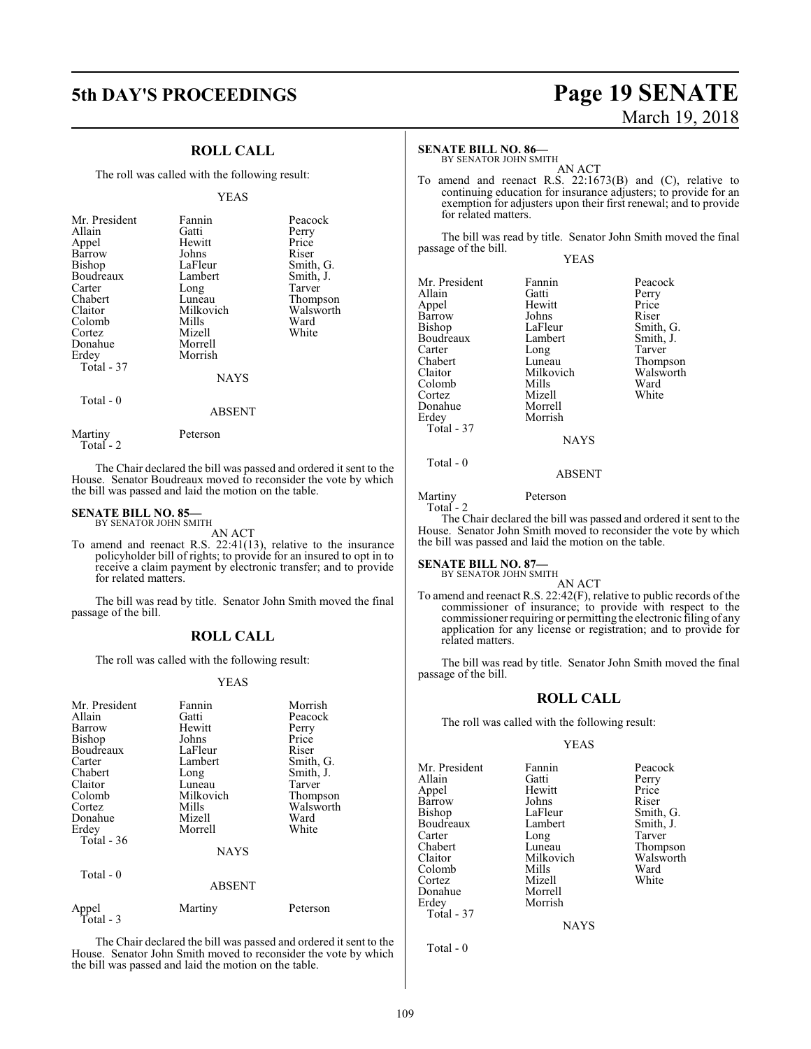# **ROLL CALL**

The roll was called with the following result:

# YEAS

| Mr. President<br>Allain<br>Appel<br>Barrow<br><b>Bishop</b><br>Boudreaux<br>Carter<br>Chabert<br>Claitor<br>Colomb<br>Cortez<br>Donahue<br>Erdey<br>Total - 37 | Fannin<br>Gatti<br>Hewitt<br>Johns<br>LaFleur<br>Lambert<br>Long<br>Luneau<br>Milkovich<br>Mills<br>Mizell<br>Morrell<br>Morrish<br><b>NAYS</b> | Peacock<br>Perry<br>Price<br>Riser<br>Smith, G.<br>Smith, J.<br>Tarver<br>Thompson<br>Walsworth<br>Ward<br>White |
|----------------------------------------------------------------------------------------------------------------------------------------------------------------|-------------------------------------------------------------------------------------------------------------------------------------------------|------------------------------------------------------------------------------------------------------------------|
| Total $-0$                                                                                                                                                     | <b>ABSENT</b>                                                                                                                                   |                                                                                                                  |

The Chair declared the bill was passed and ordered it sent to the House. Senator Boudreaux moved to reconsider the vote by which the bill was passed and laid the motion on the table.

# **SENATE BILL NO. 85—** BY SENATOR JOHN SMITH

Martiny Peterson

Total - 2

AN ACT

To amend and reenact R.S. 22:41(13), relative to the insurance policyholder bill of rights; to provide for an insured to opt in to receive a claim payment by electronic transfer; and to provide for related matters.

The bill was read by title. Senator John Smith moved the final passage of the bill.

# **ROLL CALL**

The roll was called with the following result:

# YEAS

| Mr. President<br>Allain<br>Barrow<br>Bishop<br>Boudreaux<br>Carter<br>Chabert<br>Claitor<br>Colomb<br>Cortez<br>Donahue | Fannin<br>Gatti<br>Hewitt<br>Johns<br>LaFleur<br>Lambert<br>Long<br>Luneau<br>Milkovich<br>Mills<br>Mizell<br>Morrell | Morrish<br>Peacock<br>Perry<br>Price<br>Riser<br>Smith, G.<br>Smith, J.<br>Tarver<br>Thompson<br>Walsworth<br>Ward<br>White |
|-------------------------------------------------------------------------------------------------------------------------|-----------------------------------------------------------------------------------------------------------------------|-----------------------------------------------------------------------------------------------------------------------------|
| Erdey<br>Total $-36$                                                                                                    | <b>NAYS</b>                                                                                                           |                                                                                                                             |
| Total - 0                                                                                                               | <b>ABSENT</b>                                                                                                         |                                                                                                                             |
| Appel<br>Total - 3                                                                                                      | Martiny                                                                                                               | Peterson                                                                                                                    |

The Chair declared the bill was passed and ordered it sent to the House. Senator John Smith moved to reconsider the vote by which the bill was passed and laid the motion on the table.

# **5th DAY'S PROCEEDINGS Page 19 SENATE** March 19, 2018

# **SENATE BILL NO. 86—**

BY SENATOR JOHN SMITH AN ACT

To amend and reenact R.S. 22:1673(B) and (C), relative to continuing education for insurance adjusters; to provide for an exemption for adjusters upon their first renewal; and to provide for related matters.

The bill was read by title. Senator John Smith moved the final passage of the bill. YEAS

Mr. President Fannin Peacock<br>Allain Gatti Perry Allain Gatti Perry<br>
Appel Hewitt Price Appel Hewitt Price Barrow Johns<br>Bishop LaFleur Boudreaux Lambert Smith,<br>Carter Long Tarver Carter Long<br>
Chabert Luneau Chabert Luneau Thompson<br>Claitor Milkovich Walsworth Colomb Mills Ward<br>Cortez Mizell White Cortez Mizell<br>Donahue Morrell Donahue Erdey Morrish Total - 37

LaFleur Smith, G.<br>Lambert Smith, J. Milkovich Walsw<br>Mills Ward

ABSENT

Martiny Peterson

Total - 0

Total - 2

The Chair declared the bill was passed and ordered it sent to the House. Senator John Smith moved to reconsider the vote by which the bill was passed and laid the motion on the table.

**NAYS** 

# **SENATE BILL NO. 87—**<br>BY SENATOR JOHN SMITH

AN ACT

To amend and reenact R.S. 22:42(F), relative to public records of the commissioner of insurance; to provide with respect to the commissioner requiring or permitting the electronic filing of any application for any license or registration; and to provide for related matters.

The bill was read by title. Senator John Smith moved the final passage of the bill.

# **ROLL CALL**

The roll was called with the following result:

YEAS

Mr. President Fannin Peacock<br>Allain Gatti Perry Allain Gatti Perry Barrow Johns<br>Bishop LaFleur Boudreaux Lambert Smith,<br>Carter Long Tarver Carter Long<br>Chabert Luneau Chabert Luneau Thompson<br>Claitor Milkovich Walsworth Colomb Mills Ward<br>Cortez Mizell White Cortez Mizell<br>
Donahue Morrell Donahue Morrell Erdey Morrish Total - 37

Hewitt Price<br>Johns Riser Milkovich Walsworth<br>Mills Ward

LaFleur Smith, G.<br>Lambert Smith, J.

NAYS

Total - 0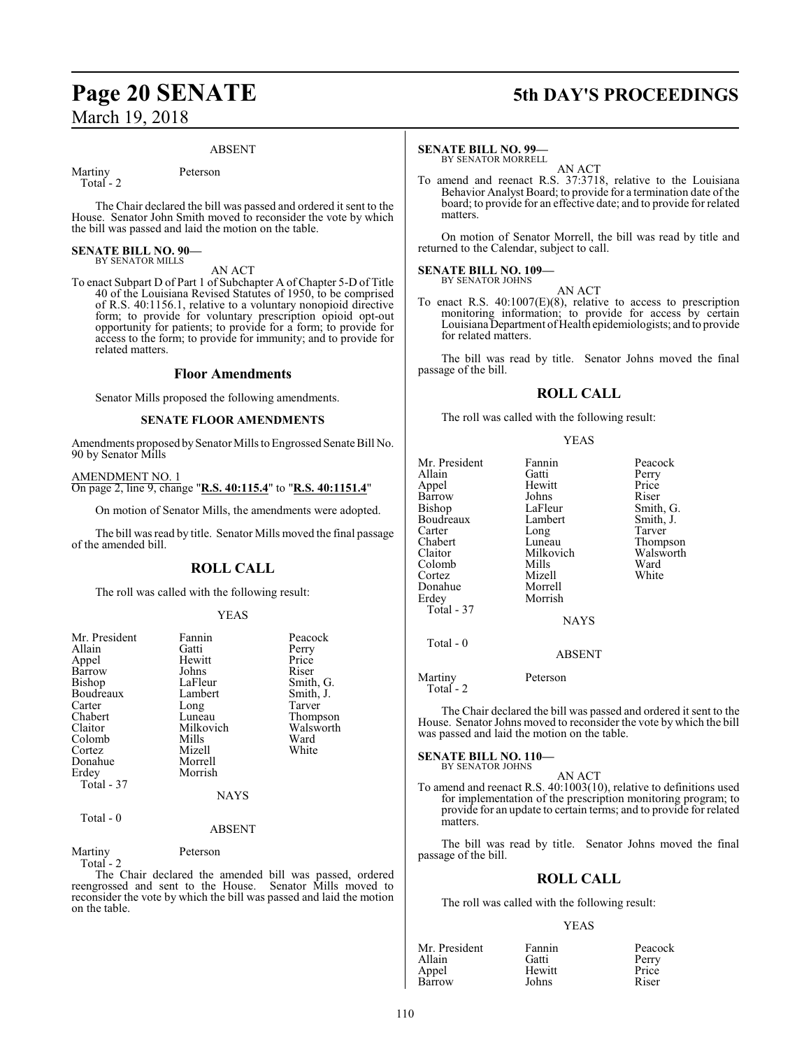# **Page 20 SENATE 5th DAY'S PROCEEDINGS** March 19, 2018

# ABSENT

Martiny Peterson Total - 2

The Chair declared the bill was passed and ordered it sent to the House. Senator John Smith moved to reconsider the vote by which the bill was passed and laid the motion on the table.

### **SENATE BILL NO. 90—** BY SENATOR MILLS

AN ACT

To enact Subpart D of Part 1 of Subchapter A of Chapter 5-D of Title 40 of the Louisiana Revised Statutes of 1950, to be comprised of R.S. 40:1156.1, relative to a voluntary nonopioid directive form; to provide for voluntary prescription opioid opt-out opportunity for patients; to provide for a form; to provide for access to the form; to provide for immunity; and to provide for related matters.

# **Floor Amendments**

Senator Mills proposed the following amendments.

# **SENATE FLOOR AMENDMENTS**

Amendments proposed by Senator Mills to Engrossed Senate Bill No. 90 by Senator Mills

# AMENDMENT NO. 1 On page 2, line 9, change "**R.S. 40:115.4**" to "**R.S. 40:1151.4**"

On motion of Senator Mills, the amendments were adopted.

The bill was read by title. Senator Mills moved the final passage of the amended bill.

# **ROLL CALL**

The roll was called with the following result:

# YEAS

| Mr. President<br>Allain<br>Appel<br>Barrow<br>Bishop<br>Boudreaux<br>Carter<br>Chabert<br>Claitor<br>Colomb<br>Cortez<br>Donahue | Fannin<br>Gatti<br>Hewitt<br>Johns<br>LaFleur<br>Lambert<br>Long<br>Luneau<br>Milkovich<br>Mills<br>Mizell<br>Morrell | Peacock<br>Perry<br>Price<br>Riser<br>Smith, G.<br>Smith, J.<br>Tarver<br>Thompson<br>Walsworth<br>Ward<br>White |
|----------------------------------------------------------------------------------------------------------------------------------|-----------------------------------------------------------------------------------------------------------------------|------------------------------------------------------------------------------------------------------------------|
| Erdey                                                                                                                            | Morrish                                                                                                               |                                                                                                                  |
| Total - 37                                                                                                                       |                                                                                                                       |                                                                                                                  |
|                                                                                                                                  | <b>NAYS</b>                                                                                                           |                                                                                                                  |
| Total - 0                                                                                                                        | <b>ABSENT</b>                                                                                                         |                                                                                                                  |

Martiny Peterson Total - 2

The Chair declared the amended bill was passed, ordered reengrossed and sent to the House. Senator Mills moved to reconsider the vote by which the bill was passed and laid the motion on the table.

# **SENATE BILL NO. 99—**

BY SENATOR MORRELL AN ACT

To amend and reenact R.S. 37:3718, relative to the Louisiana Behavior Analyst Board; to provide for a termination date of the board; to provide for an effective date; and to provide for related matters.

On motion of Senator Morrell, the bill was read by title and returned to the Calendar, subject to call.

#### **SENATE BILL NO. 109—** BY SENATOR JOHNS

AN ACT To enact R.S. 40:1007(E)(8), relative to access to prescription monitoring information; to provide for access by certain Louisiana Department ofHealth epidemiologists; and to provide for related matters.

The bill was read by title. Senator Johns moved the final passage of the bill.

# **ROLL CALL**

The roll was called with the following result:

# YEAS

| Mr. President<br>Allain<br>Appel<br>Barrow<br>Bishop<br>Boudreaux<br>Carter<br>Chabert<br>Claitor<br>Colomb<br>Cortez<br>Donahue<br>Erdey<br>Total - 37 | Fannin<br>Gatti<br>Hewitt<br>Johns<br>LaFleur<br>Lambert<br>Long<br>Luneau<br>Milkovich<br>Mills<br>Mizell<br>Morrell<br>Morrish | Peacock<br>Perry<br>Price<br>Riser<br>Smith, G.<br>Smith, J.<br>Tarver<br>Thompson<br>Walsworth<br>Ward<br>White |
|---------------------------------------------------------------------------------------------------------------------------------------------------------|----------------------------------------------------------------------------------------------------------------------------------|------------------------------------------------------------------------------------------------------------------|
|                                                                                                                                                         | <b>NAYS</b>                                                                                                                      |                                                                                                                  |
| Total - 0                                                                                                                                               | <b>ABSENT</b>                                                                                                                    |                                                                                                                  |
| $\cdots$                                                                                                                                                | $\mathbf{r}$ .                                                                                                                   |                                                                                                                  |

Martiny Peterson Total - 2

The Chair declared the bill was passed and ordered it sent to the House. Senator Johns moved to reconsider the vote by which the bill was passed and laid the motion on the table.

# **SENATE BILL NO. 110—** BY SENATOR JOHNS

AN ACT To amend and reenact R.S. 40:1003(10), relative to definitions used for implementation of the prescription monitoring program; to provide for an update to certain terms; and to provide for related matters.

The bill was read by title. Senator Johns moved the final passage of the bill.

# **ROLL CALL**

The roll was called with the following result:

| Mr. President | Fannin | Peacock |
|---------------|--------|---------|
| Allain        | Gatti  | Perry   |
| Appel         | Hewitt | Price   |
| Barrow        | Johns  | Riser   |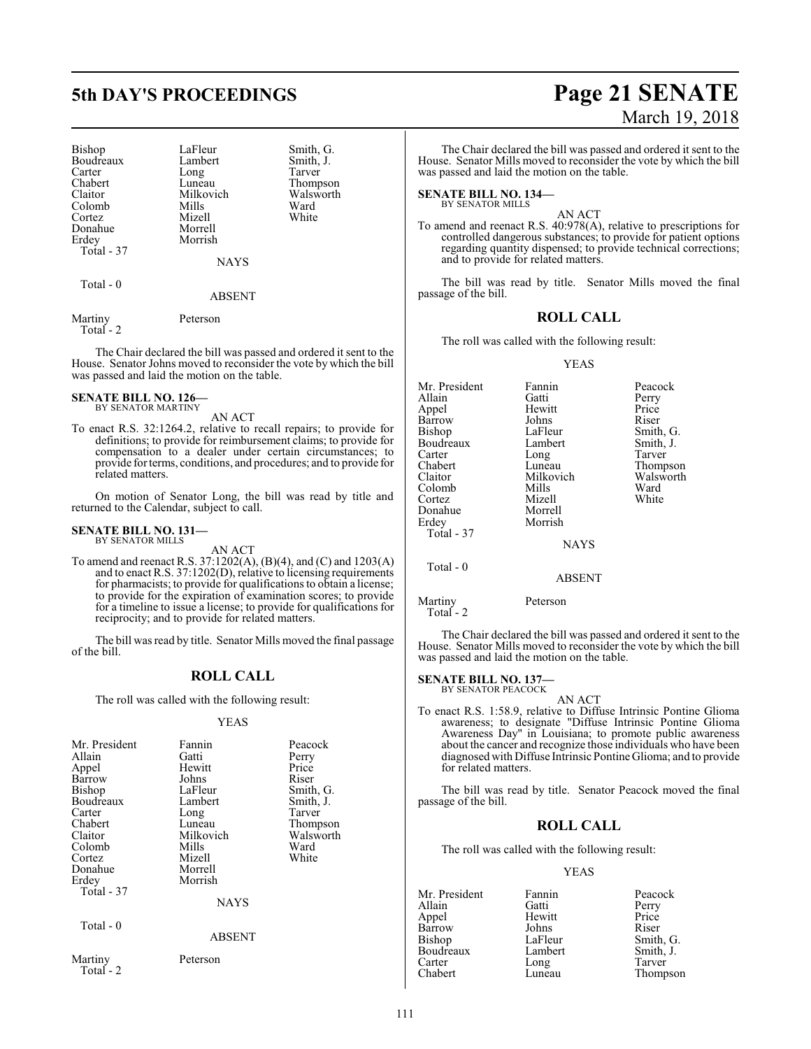# **5th DAY'S PROCEEDINGS Page 21 SENATE**

Bishop LaFleur Smith, G.<br>Boudreaux Lambert Smith, J. Boudreaux Lambert Smith,<br>Carter Long Tarver Carter Long<br>Chabert Luneau Chabert Luneau Thompson<br>Claitor Milkovich Walsworth Colomb Mills Ward<br>Cortez Mizell White Cortez Mizell<br>Donahue Morrell Donahue<br>Erdey Total - 37

Milkovich Walsworth<br>
Mills Ward Morrish

NAYS

ABSENT

Total - 0

Martiny Peterson Total - 2

The Chair declared the bill was passed and ordered it sent to the House. Senator Johns moved to reconsider the vote by which the bill was passed and laid the motion on the table.

### **SENATE BILL NO. 126—** BY SENATOR MARTINY

AN ACT

To enact R.S. 32:1264.2, relative to recall repairs; to provide for definitions; to provide for reimbursement claims; to provide for compensation to a dealer under certain circumstances; to provide for terms, conditions, and procedures; and to provide for related matters.

On motion of Senator Long, the bill was read by title and returned to the Calendar, subject to call.

#### **SENATE BILL NO. 131—** BY SENATOR MILLS

AN ACT

To amend and reenact R.S. 37:1202(A), (B)(4), and (C) and 1203(A) and to enact R.S. 37:1202(D), relative to licensing requirements for pharmacists; to provide for qualifications to obtain a license; to provide for the expiration of examination scores; to provide for a timeline to issue a license; to provide for qualifications for reciprocity; and to provide for related matters.

The bill was read by title. Senator Mills moved the final passage of the bill.

# **ROLL CALL**

The roll was called with the following result:

# YEAS

| Mr. President<br>Allain<br>Appel<br>Barrow<br><b>Bishop</b><br>Boudreaux<br>Carter<br>Chabert<br>Claitor<br>Colomb<br>Cortez<br>Donahue<br>Erdey<br>Total - 37<br>Total $-0$ | Fannin<br>Gatti<br>Hewitt<br>Johns<br>LaFleur<br>Lambert<br>Long<br>Luneau<br>Milkovich<br>Mills<br>Mizell<br>Morrell<br>Morrish<br><b>NAYS</b> | Peacock<br>Perry<br>Price<br>Riser<br>Smith, G.<br>Smith, J.<br>Tarver<br>Thompson<br>Walsworth<br>Ward<br>White |
|------------------------------------------------------------------------------------------------------------------------------------------------------------------------------|-------------------------------------------------------------------------------------------------------------------------------------------------|------------------------------------------------------------------------------------------------------------------|
|                                                                                                                                                                              | ABSENT                                                                                                                                          |                                                                                                                  |
| Martiny<br>Total - 2                                                                                                                                                         | Peterson                                                                                                                                        |                                                                                                                  |

# March 19, 2018

The Chair declared the bill was passed and ordered it sent to the House. Senator Mills moved to reconsider the vote by which the bill was passed and laid the motion on the table.

**SENATE BILL NO. 134—** BY SENATOR MILLS

AN ACT

To amend and reenact R.S. 40:978(A), relative to prescriptions for controlled dangerous substances; to provide for patient options regarding quantity dispensed; to provide technical corrections; and to provide for related matters.

The bill was read by title. Senator Mills moved the final passage of the bill.

# **ROLL CALL**

The roll was called with the following result:

# YEAS

| Mr. President | Fannin        | Peacock   |
|---------------|---------------|-----------|
| Allain        | Gatti         | Perry     |
| Appel         | Hewitt        | Price     |
| Barrow        | Johns         | Riser     |
| Bishop        | LaFleur       | Smith, G. |
| Boudreaux     | Lambert       | Smith, J. |
| Carter        | Long          | Tarver    |
| Chabert       | Luneau        | Thompson  |
| Claitor       | Milkovich     | Walsworth |
| Colomb        | Mills         | Ward      |
| Cortez        | Mizell        | White     |
| Donahue       | Morrell       |           |
| Erdey         | Morrish       |           |
| Total - 37    |               |           |
|               | <b>NAYS</b>   |           |
| Total - 0     |               |           |
|               | <b>ABSENT</b> |           |

Martiny Peterson

Total - 2

The Chair declared the bill was passed and ordered it sent to the House. Senator Mills moved to reconsider the vote by which the bill was passed and laid the motion on the table.

# **SENATE BILL NO. 137—**

BY SENATOR PEACOCK AN ACT

To enact R.S. 1:58.9, relative to Diffuse Intrinsic Pontine Glioma awareness; to designate "Diffuse Intrinsic Pontine Glioma Awareness Day" in Louisiana; to promote public awareness about the cancer and recognize those individuals who have been diagnosed with Diffuse Intrinsic Pontine Glioma; and to provide for related matters.

The bill was read by title. Senator Peacock moved the final passage of the bill.

# **ROLL CALL**

The roll was called with the following result:

| Mr. President | Fannin  | Peacock   |
|---------------|---------|-----------|
| Allain        | Gatti   | Perry     |
| Appel         | Hewitt  | Price     |
| Barrow        | Johns   | Riser     |
| Bishop        | LaFleur | Smith, G. |
| Boudreaux     | Lambert | Smith, J. |
| Carter        | Long    | Tarver    |
| Chabert       | Luneau  | Thompson  |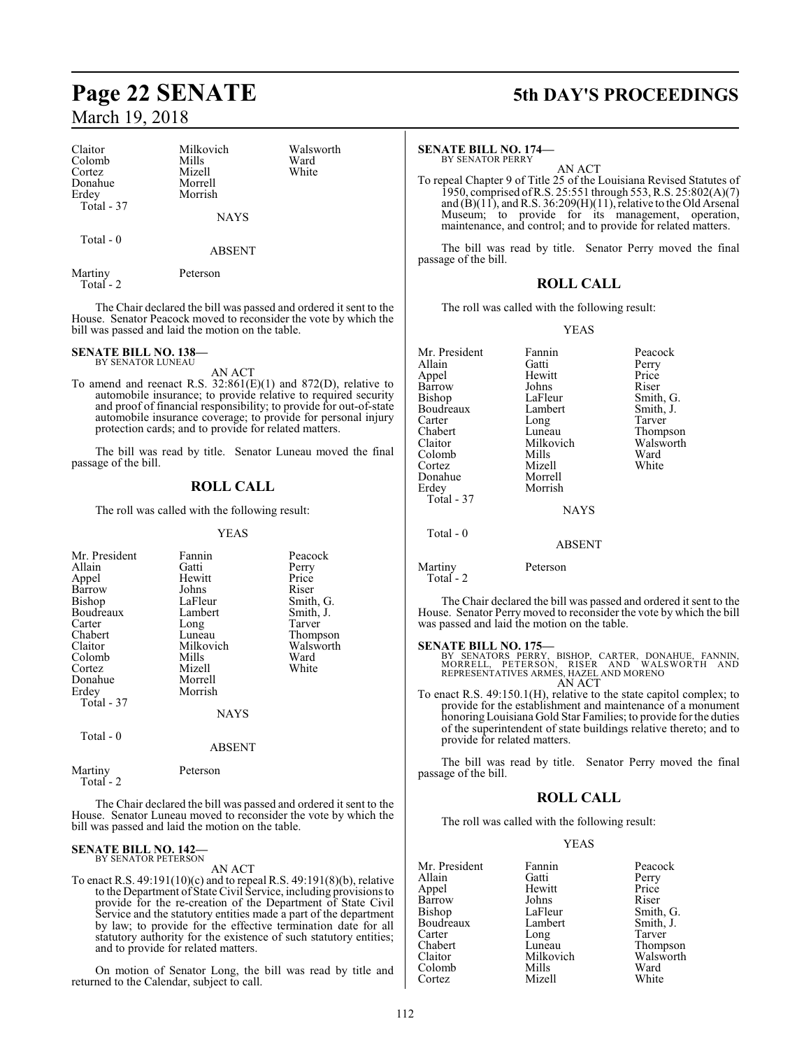Claitor Milkovich Walsworth Colomb Mills Ward<br>Cortez Mizell White Cortez Mizell<br>Donahue Morrel Donahue Morrell Total - 37

Morrish

ABSENT

NAYS

Martiny Peterson Total - 2

Total - 0

The Chair declared the bill was passed and ordered it sent to the House. Senator Peacock moved to reconsider the vote by which the bill was passed and laid the motion on the table.

### **SENATE BILL NO. 138—** BY SENATOR LUNEAU

AN ACT

To amend and reenact R.S. 32:861(E)(1) and 872(D), relative to automobile insurance; to provide relative to required security and proof of financial responsibility; to provide for out-of-state automobile insurance coverage; to provide for personal injury protection cards; and to provide for related matters.

The bill was read by title. Senator Luneau moved the final passage of the bill.

# **ROLL CALL**

The roll was called with the following result:

# YEAS

| Mr. President | Fannin          | Peacock   |
|---------------|-----------------|-----------|
| Allain        | Gatti           | Perry     |
| Appel         | Hewitt          | Price     |
| Barrow        | Johns           | Riser     |
| Bishop        | LaFleur         | Smith, G. |
|               |                 |           |
| Boudreaux     | Lambert         | Smith, J. |
| Carter        | Long            | Tarver    |
| Chabert       | Luneau          | Thompson  |
| Claitor       | Milkovich       | Walsworth |
| Colomb        | Mills           | Ward      |
| Cortez        | Mizell          | White     |
| Donahue       | Morrell         |           |
| Erdey         | Morrish         |           |
| Total - 37    |                 |           |
|               | <b>NAYS</b>     |           |
| Total - 0     |                 |           |
|               | <b>A R SENT</b> |           |

# ABSENT

Martiny Peterson Total - 2

The Chair declared the bill was passed and ordered it sent to the House. Senator Luneau moved to reconsider the vote by which the bill was passed and laid the motion on the table.

## **SENATE BILL NO. 142—** BY SENATOR PETERSON

AN ACT

To enact R.S. 49:191(10)(c) and to repeal R.S. 49:191(8)(b), relative to the Department of State Civil Service, including provisions to provide for the re-creation of the Department of State Civil Service and the statutory entities made a part of the department by law; to provide for the effective termination date for all statutory authority for the existence of such statutory entities; and to provide for related matters.

On motion of Senator Long, the bill was read by title and returned to the Calendar, subject to call.

# **Page 22 SENATE 5th DAY'S PROCEEDINGS**

**SENATE BILL NO. 174—**

BY SENATOR PERRY AN ACT

To repeal Chapter 9 of Title 25 of the Louisiana Revised Statutes of 1950, comprised ofR.S. 25:551 through 553, R.S. 25:802(A)(7) and  $(B)(11)$ , and R.S. 36:209 $(H)(11)$ , relative to the Old Arsenal Museum; to provide for its management, operation, maintenance, and control; and to provide for related matters.

The bill was read by title. Senator Perry moved the final passage of the bill.

# **ROLL CALL**

The roll was called with the following result:

YEAS

| Mr. President     | Fannin        | Peacock   |
|-------------------|---------------|-----------|
| Allain            | Gatti         | Perry     |
| Appel             | Hewitt        | Price     |
| Barrow            | Johns         | Riser     |
| Bishop            | LaFleur       | Smith, G. |
| Boudreaux         | Lambert       | Smith, J. |
| Carter            | Long          | Tarver    |
| Chabert           | Luneau        | Thompson  |
| Claitor           | Milkovich     | Walsworth |
| Colomb            | Mills         | Ward      |
| Cortez            | Mizell        | White     |
| Donahue           | Morrell       |           |
| Erdey             | Morrish       |           |
| <b>Total - 37</b> |               |           |
|                   | <b>NAYS</b>   |           |
| Total - 0         |               |           |
|                   | <b>ABSENT</b> |           |
| Martinv           | Peterson      |           |

Total - 2

The Chair declared the bill was passed and ordered it sent to the House. Senator Perry moved to reconsider the vote by which the bill was passed and laid the motion on the table.

# **SENATE BILL NO. 175—**

BY SENATORS PERRY, BISHOP, CARTER, DONAHUE, FANNIN,<br>MORRELL, PETERSON, RISER AND WALSWORTH AND<br>REPRESENTATIVES ARMES,HAZEL AND MORENO AN ACT

To enact R.S. 49:150.1(H), relative to the state capitol complex; to provide for the establishment and maintenance of a monument honoring Louisiana Gold Star Families; to provide for the duties of the superintendent of state buildings relative thereto; and to provide for related matters.

The bill was read by title. Senator Perry moved the final passage of the bill.

# **ROLL CALL**

The roll was called with the following result:

| Mr. President | Fannin    | Peacock   |
|---------------|-----------|-----------|
| Allain        | Gatti     | Perry     |
| Appel         | Hewitt    | Price     |
| <b>Barrow</b> | Johns     | Riser     |
| Bishop        | LaFleur   | Smith, G. |
| Boudreaux     | Lambert   | Smith, J. |
| Carter        | Long      | Tarver    |
| Chabert       | Luneau    | Thompson  |
| Claitor       | Milkovich | Walsworth |
| Colomb        | Mills     | Ward      |
| Cortez        | Mizell    | White     |
|               |           |           |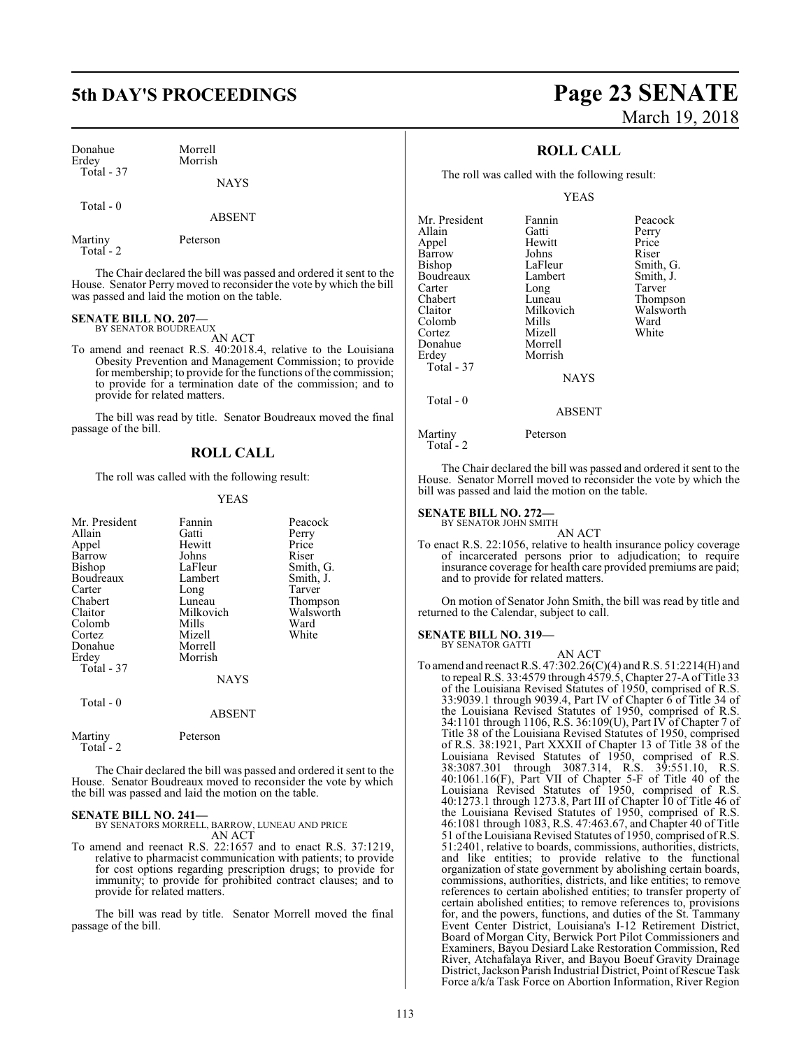| Donahue    | Morrell     |
|------------|-------------|
| Erdey      | Morrish     |
| Total - 37 | <b>NAVS</b> |

Total - 0

ABSENT

| Martiny    | Peterson |
|------------|----------|
| Total $-2$ |          |

The Chair declared the bill was passed and ordered it sent to the House. Senator Perry moved to reconsider the vote by which the bill was passed and laid the motion on the table.

### **SENATE BILL NO. 207—** BY SENATOR BOUDREAUX

AN ACT

To amend and reenact R.S. 40:2018.4, relative to the Louisiana Obesity Prevention and Management Commission; to provide for membership; to provide for the functions of the commission; to provide for a termination date of the commission; and to provide for related matters.

The bill was read by title. Senator Boudreaux moved the final passage of the bill.

# **ROLL CALL**

The roll was called with the following result:

# YEAS

| Mr. President | Fannin        | Peacock   |
|---------------|---------------|-----------|
|               |               |           |
| Allain        | Gatti         | Perry     |
| Appel         | Hewitt        | Price     |
| Barrow        | Johns         | Riser     |
| Bishop        | LaFleur       | Smith, G. |
| Boudreaux     | Lambert       | Smith, J. |
| Carter        | Long          | Tarver    |
| Chabert       | Luneau        | Thompson  |
| Claitor       | Milkovich     | Walsworth |
| Colomb        | Mills         | Ward      |
| Cortez        | Mizell        | White     |
| Donahue       | Morrell       |           |
|               |               |           |
| Erdey         | Morrish       |           |
| Total - 37    |               |           |
|               | NAYS          |           |
| Total - 0     |               |           |
|               | <b>ABSENT</b> |           |
|               |               |           |
| Martiny       | Peterson      |           |
| Total - 2     |               |           |

The Chair declared the bill was passed and ordered it sent to the House. Senator Boudreaux moved to reconsider the vote by which the bill was passed and laid the motion on the table.

**SENATE BILL NO. 241—** BY SENATORS MORRELL, BARROW, LUNEAU AND PRICE AN ACT

To amend and reenact R.S. 22:1657 and to enact R.S. 37:1219, relative to pharmacist communication with patients; to provide for cost options regarding prescription drugs; to provide for immunity; to provide for prohibited contract clauses; and to provide for related matters.

The bill was read by title. Senator Morrell moved the final passage of the bill.

# **5th DAY'S PROCEEDINGS Page 23 SENATE** March 19, 2018

# **ROLL CALL**

The roll was called with the following result:

# YEAS

| Mr. President | Fannin      | Peacock   |
|---------------|-------------|-----------|
| Allain        | Gatti       | Perry     |
| Appel         | Hewitt      | Price     |
| Barrow        | Johns       | Riser     |
| Bishop        | LaFleur     | Smith, G. |
| Boudreaux     | Lambert     | Smith, J. |
| Carter        | Long        | Tarver    |
| Chabert       | Luneau      | Thompson  |
| Claitor       | Milkovich   | Walsworth |
| Colomb        | Mills       | Ward      |
| Cortez        | Mizell      | White     |
| Donahue       | Morrell     |           |
| Erdey         | Morrish     |           |
| Total - 37    |             |           |
|               | <b>NAYS</b> |           |
| Total $-0$    |             |           |
|               | ABSENT      |           |

Martiny Peterson

Total - 2

The Chair declared the bill was passed and ordered it sent to the House. Senator Morrell moved to reconsider the vote by which the bill was passed and laid the motion on the table.

# **SENATE BILL NO. 272—**

BY SENATOR JOHN SMITH AN ACT

To enact R.S. 22:1056, relative to health insurance policy coverage of incarcerated persons prior to adjudication; to require insurance coverage for health care provided premiums are paid; and to provide for related matters.

On motion of Senator John Smith, the bill was read by title and returned to the Calendar, subject to call.

**SENATE BILL NO. 319—** BY SENATOR GATTI

AN ACT

To amend and reenact R.S. 47:302.26(C)(4) andR.S. 51:2214(H) and to repeal R.S. 33:4579 through 4579.5, Chapter 27-A ofTitle 33 of the Louisiana Revised Statutes of 1950, comprised of R.S. 33:9039.1 through 9039.4, Part IV of Chapter 6 of Title 34 of the Louisiana Revised Statutes of 1950, comprised of R.S. 34:1101 through 1106, R.S. 36:109(U), Part IV of Chapter 7 of Title 38 of the Louisiana Revised Statutes of 1950, comprised of R.S. 38:1921, Part XXXII of Chapter 13 of Title 38 of the Louisiana Revised Statutes of 1950, comprised of R.S. 38:3087.301 through 3087.314, R.S. 39:551.10, R.S. 40:1061.16(F), Part VII of Chapter 5-F of Title 40 of the Louisiana Revised Statutes of 1950, comprised of R.S. 40:1273.1 through 1273.8, Part III of Chapter 10 of Title 46 of the Louisiana Revised Statutes of 1950, comprised of R.S. 46:1081 through 1083, R.S. 47:463.67, and Chapter 40 of Title 51 ofthe Louisiana Revised Statutes of 1950, comprised ofR.S. 51:2401, relative to boards, commissions, authorities, districts, and like entities; to provide relative to the functional organization of state government by abolishing certain boards, commissions, authorities, districts, and like entities; to remove references to certain abolished entities; to transfer property of certain abolished entities; to remove references to, provisions for, and the powers, functions, and duties of the St. Tammany Event Center District, Louisiana's I-12 Retirement District, Board of Morgan City, Berwick Port Pilot Commissioners and Examiners, Bayou Desiard Lake Restoration Commission, Red River, Atchafalaya River, and Bayou Boeuf Gravity Drainage District, Jackson Parish Industrial District, Point ofRescue Task Force a/k/a Task Force on Abortion Information, River Region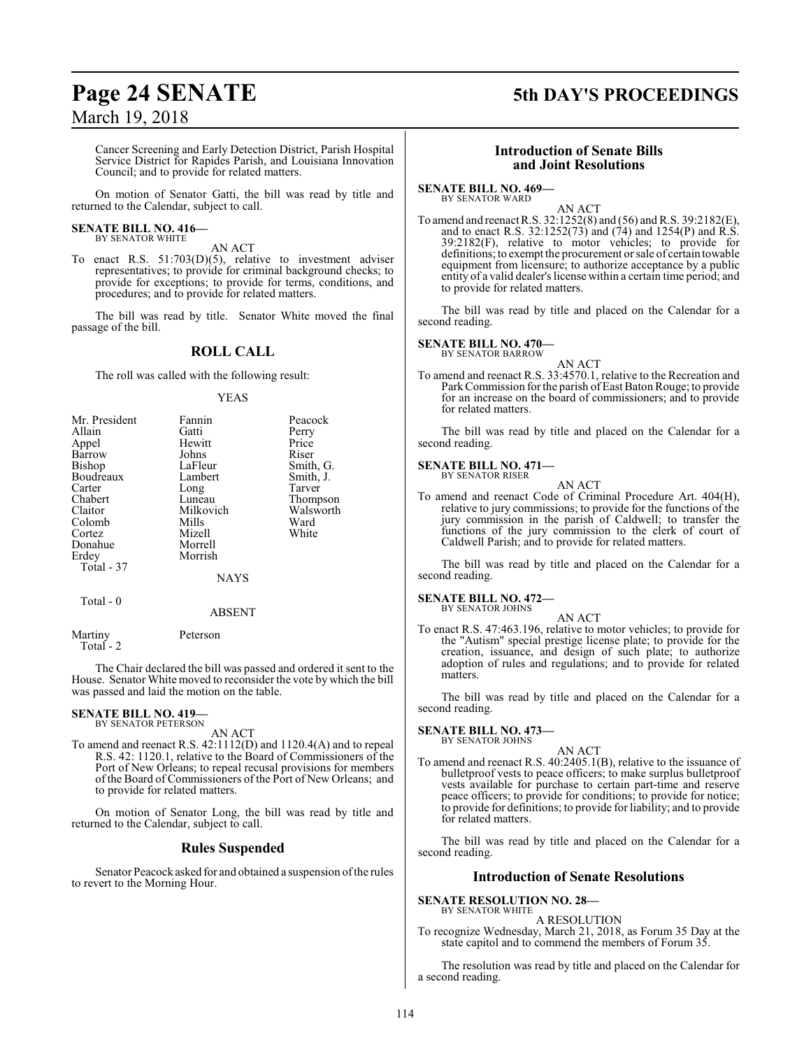# Cancer Screening and Early Detection District, Parish Hospital Service District for Rapides Parish, and Louisiana Innovation Council; and to provide for related matters.

On motion of Senator Gatti, the bill was read by title and returned to the Calendar, subject to call.

### **SENATE BILL NO. 416—** BY SENATOR WHITE

AN ACT

To enact R.S. 51:703(D)(5), relative to investment adviser representatives; to provide for criminal background checks; to provide for exceptions; to provide for terms, conditions, and procedures; and to provide for related matters.

The bill was read by title. Senator White moved the final passage of the bill.

# **ROLL CALL**

The roll was called with the following result:

# YEAS

| Mr. President | Fannin    | Peacock   |
|---------------|-----------|-----------|
| Allain        | Gatti     | Perry     |
| Appel         | Hewitt    | Price     |
| Barrow        | Johns     | Riser     |
| Bishop        | LaFleur   | Smith, G. |
| Boudreaux     | Lambert   | Smith, J. |
| Carter        | Long      | Tarver    |
| Chabert       | Luneau    | Thompson  |
| Claitor       | Milkovich | Walsworth |
| Colomb        | Mills     | Ward      |
| Cortez        | Mizell    | White     |
| Donahue       | Morrell   |           |
| Erdey         | Morrish   |           |
| Total - 37    |           |           |
|               | NAYS      |           |
|               |           |           |

Total - 0

ABSENT

Martiny Peterson Total - 2

The Chair declared the bill was passed and ordered it sent to the House. Senator White moved to reconsider the vote by which the bill was passed and laid the motion on the table.

# **SENATE BILL NO. 419—** BY SENATOR PETERSON

AN ACT

To amend and reenact R.S. 42:1112(D) and 1120.4(A) and to repeal R.S. 42: 1120.1, relative to the Board of Commissioners of the Port of New Orleans; to repeal recusal provisions for members of the Board of Commissioners of the Port of New Orleans; and to provide for related matters.

On motion of Senator Long, the bill was read by title and returned to the Calendar, subject to call.

# **Rules Suspended**

Senator Peacock asked for and obtained a suspension ofthe rules to revert to the Morning Hour.

# **Page 24 SENATE 5th DAY'S PROCEEDINGS**

# **Introduction of Senate Bills and Joint Resolutions**

# **SENATE BILL NO. 469—**

BY SENATOR WARD

AN ACT To amend and reenact R.S. 32:1252(8) and (56) and R.S. 39:2182(E), and to enact R.S.  $32:1252(73)$  and  $(74)$  and  $1254(P)$  and  $R.S.$ 39:2182(F), relative to motor vehicles; to provide for definitions; to exempt the procurement or sale of certain towable equipment from licensure; to authorize acceptance by a public entity of a valid dealer's license within a certain time period; and to provide for related matters.

The bill was read by title and placed on the Calendar for a second reading.

# **SENATE BILL NO. 470—**

BY SENATOR BARROW

AN ACT To amend and reenact R.S. 33:4570.1, relative to the Recreation and Park Commission for the parish of East Baton Rouge; to provide for an increase on the board of commissioners; and to provide for related matters.

The bill was read by title and placed on the Calendar for a second reading.

# **SENATE BILL NO. 471—** BY SENATOR RISER

AN ACT

To amend and reenact Code of Criminal Procedure Art. 404(H), relative to jury commissions; to provide for the functions of the jury commission in the parish of Caldwell; to transfer the functions of the jury commission to the clerk of court of Caldwell Parish; and to provide for related matters.

The bill was read by title and placed on the Calendar for a second reading.

#### **SENATE BILL NO. 472—** BY SENATOR JOHNS

AN ACT

To enact R.S. 47:463.196, relative to motor vehicles; to provide for the "Autism" special prestige license plate; to provide for the creation, issuance, and design of such plate; to authorize adoption of rules and regulations; and to provide for related matters.

The bill was read by title and placed on the Calendar for a second reading.

### **SENATE BILL NO. 473—** BY SENATOR JOHNS

- AN ACT
- To amend and reenact R.S. 40:2405.1(B), relative to the issuance of bulletproof vests to peace officers; to make surplus bulletproof vests available for purchase to certain part-time and reserve peace officers; to provide for conditions; to provide for notice; to provide for definitions; to provide for liability; and to provide for related matters.

The bill was read by title and placed on the Calendar for a second reading.

# **Introduction of Senate Resolutions**

**SENATE RESOLUTION NO. 28—** BY SENATOR WHITE

# A RESOLUTION

To recognize Wednesday, March 21, 2018, as Forum 35 Day at the state capitol and to commend the members of Forum 35.

The resolution was read by title and placed on the Calendar for a second reading.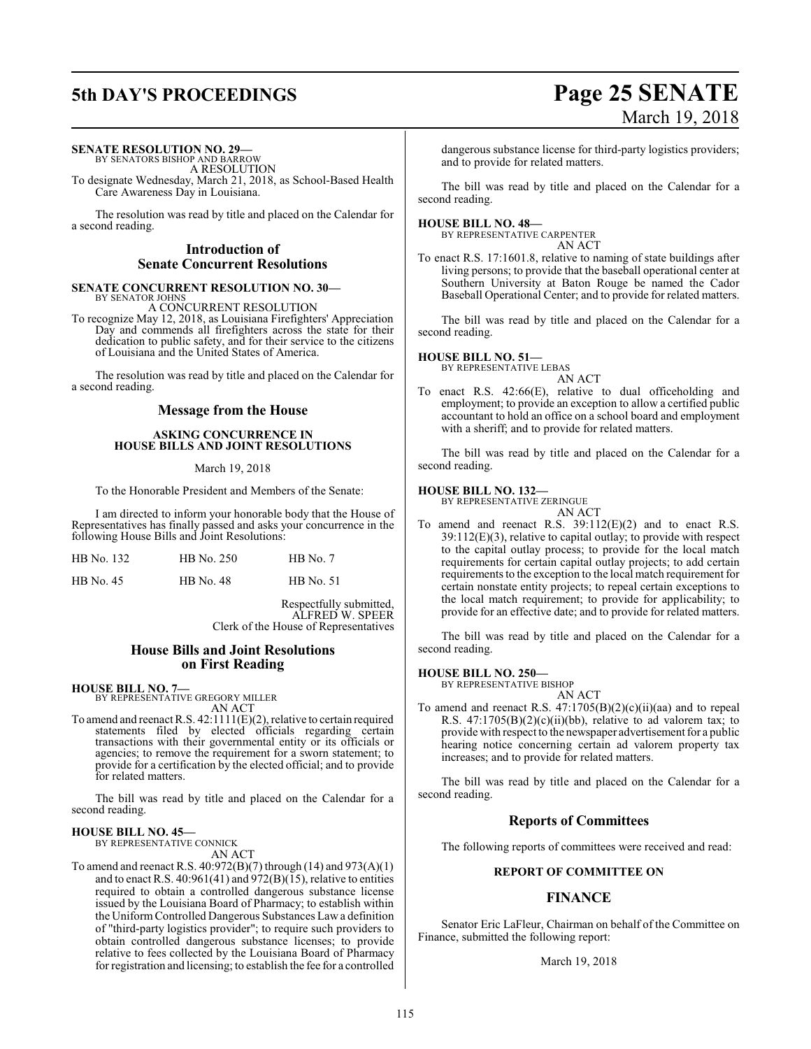# **5th DAY'S PROCEEDINGS Page 25 SENATE** March 19, 2018

# **SENATE RESOLUTION NO. 29—**

BY SENATORS BISHOP AND BARROW A RESOLUTION

To designate Wednesday, March 21, 2018, as School-Based Health Care Awareness Day in Louisiana.

The resolution was read by title and placed on the Calendar for a second reading.

# **Introduction of Senate Concurrent Resolutions**

## **SENATE CONCURRENT RESOLUTION NO. 30—** BY SENATOR JOHNS

A CONCURRENT RESOLUTION

To recognize May 12, 2018, as Louisiana Firefighters' Appreciation Day and commends all firefighters across the state for their dedication to public safety, and for their service to the citizens of Louisiana and the United States of America.

The resolution was read by title and placed on the Calendar for a second reading.

# **Message from the House**

# **ASKING CONCURRENCE IN HOUSE BILLS AND JOINT RESOLUTIONS**

# March 19, 2018

To the Honorable President and Members of the Senate:

I am directed to inform your honorable body that the House of Representatives has finally passed and asks your concurrence in the following House Bills and Joint Resolutions:

| HB No. 132 | HB No. 250 | $HB$ No. $7$     |
|------------|------------|------------------|
| HB No. 45  | HB No. 48  | <b>HB</b> No. 51 |

Respectfully submitted, ALFRED W. SPEER Clerk of the House of Representatives

# **House Bills and Joint Resolutions on First Reading**

# **HOUSE BILL NO. 7—**

BY REPRESENTATIVE GREGORY MILLER

AN ACT To amend and reenact R.S. 42:1111(E)(2), relative to certain required statements filed by elected officials regarding certain transactions with their governmental entity or its officials or agencies; to remove the requirement for a sworn statement; to provide for a certification by the elected official; and to provide for related matters.

The bill was read by title and placed on the Calendar for a second reading.

# **HOUSE BILL NO. 45—**

BY REPRESENTATIVE CONNICK AN ACT

To amend and reenact R.S. 40:972(B)(7) through (14) and 973(A)(1) and to enact R.S.  $40:961(41)$  and  $972(B)(15)$ , relative to entities required to obtain a controlled dangerous substance license issued by the Louisiana Board of Pharmacy; to establish within the Uniform Controlled Dangerous Substances Law a definition of "third-party logistics provider"; to require such providers to obtain controlled dangerous substance licenses; to provide relative to fees collected by the Louisiana Board of Pharmacy for registration and licensing; to establish the fee for a controlled

dangerous substance license for third-party logistics providers; and to provide for related matters.

The bill was read by title and placed on the Calendar for a second reading.

# **HOUSE BILL NO. 48—**

BY REPRESENTATIVE CARPENTER AN ACT

To enact R.S. 17:1601.8, relative to naming of state buildings after living persons; to provide that the baseball operational center at Southern University at Baton Rouge be named the Cador Baseball Operational Center; and to provide for related matters.

The bill was read by title and placed on the Calendar for a second reading.

# **HOUSE BILL NO. 51—**

BY REPRESENTATIVE LEBAS AN ACT

To enact R.S. 42:66(E), relative to dual officeholding and employment; to provide an exception to allow a certified public accountant to hold an office on a school board and employment with a sheriff; and to provide for related matters.

The bill was read by title and placed on the Calendar for a second reading.

# **HOUSE BILL NO. 132—**

BY REPRESENTATIVE ZERINGUE AN ACT

To amend and reenact R.S. 39:112(E)(2) and to enact R.S. 39:112(E)(3), relative to capital outlay; to provide with respect to the capital outlay process; to provide for the local match requirements for certain capital outlay projects; to add certain requirements to the exception to the local match requirement for certain nonstate entity projects; to repeal certain exceptions to the local match requirement; to provide for applicability; to provide for an effective date; and to provide for related matters.

The bill was read by title and placed on the Calendar for a second reading.

# **HOUSE BILL NO. 250—**

BY REPRESENTATIVE BISHOP

AN ACT To amend and reenact R.S. 47:1705(B)(2)(c)(ii)(aa) and to repeal R.S.  $47:1705(B)(2)(c)(ii)(bb)$ , relative to ad valorem tax; to provide with respect to the newspaper advertisement for a public hearing notice concerning certain ad valorem property tax increases; and to provide for related matters.

The bill was read by title and placed on the Calendar for a second reading.

# **Reports of Committees**

The following reports of committees were received and read:

# **REPORT OF COMMITTEE ON**

# **FINANCE**

Senator Eric LaFleur, Chairman on behalf of the Committee on Finance, submitted the following report:

March 19, 2018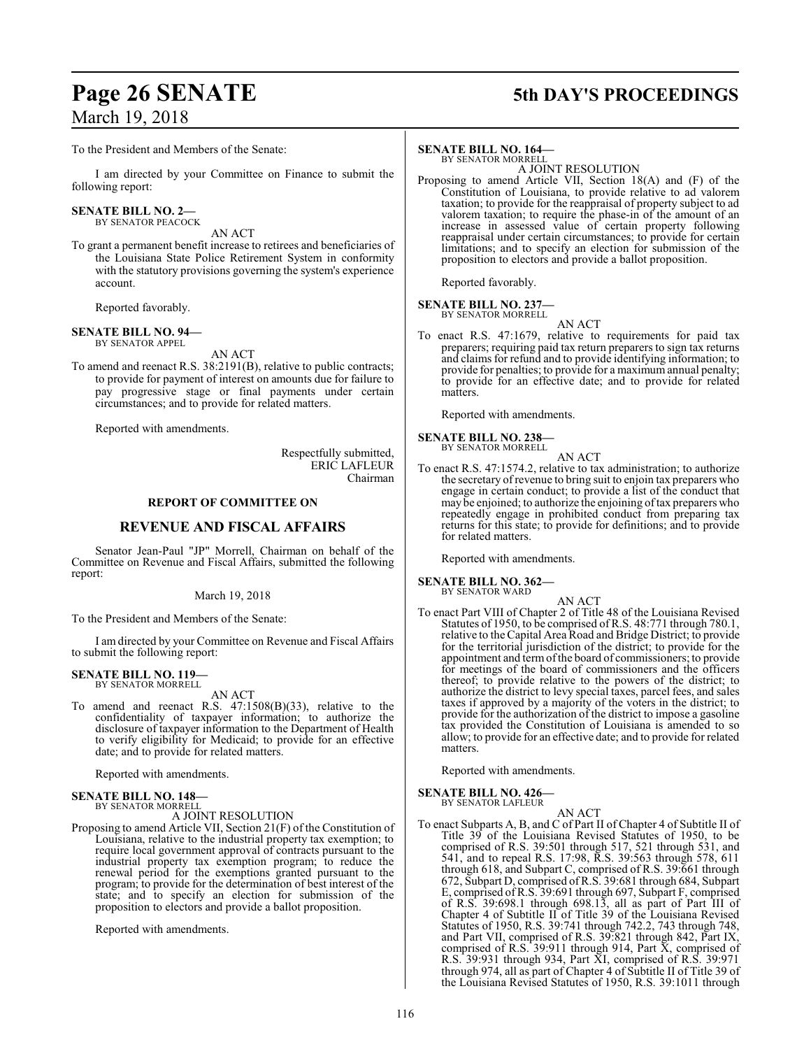# **Page 26 SENATE 5th DAY'S PROCEEDINGS**

To the President and Members of the Senate:

I am directed by your Committee on Finance to submit the following report:

#### **SENATE BILL NO. 2—** BY SENATOR PEACOCK

AN ACT

To grant a permanent benefit increase to retirees and beneficiaries of the Louisiana State Police Retirement System in conformity with the statutory provisions governing the system's experience account.

Reported favorably.

#### **SENATE BILL NO. 94—** BY SENATOR APPEL

AN ACT

To amend and reenact R.S. 38:2191(B), relative to public contracts; to provide for payment of interest on amounts due for failure to pay progressive stage or final payments under certain circumstances; and to provide for related matters.

Reported with amendments.

Respectfully submitted, ERIC LAFLEUR Chairman

# **REPORT OF COMMITTEE ON**

# **REVENUE AND FISCAL AFFAIRS**

Senator Jean-Paul "JP" Morrell, Chairman on behalf of the Committee on Revenue and Fiscal Affairs, submitted the following report:

# March 19, 2018

To the President and Members of the Senate:

I am directed by your Committee on Revenue and Fiscal Affairs to submit the following report:

## **SENATE BILL NO. 119—** BY SENATOR MORRELL

AN ACT

To amend and reenact R.S. 47:1508(B)(33), relative to the confidentiality of taxpayer information; to authorize the disclosure of taxpayer information to the Department of Health to verify eligibility for Medicaid; to provide for an effective date; and to provide for related matters.

Reported with amendments.

### **SENATE BILL NO. 148—** BY SENATOR MORRELL

A JOINT RESOLUTION

Proposing to amend Article VII, Section 21(F) of the Constitution of Louisiana, relative to the industrial property tax exemption; to require local government approval of contracts pursuant to the industrial property tax exemption program; to reduce the renewal period for the exemptions granted pursuant to the program; to provide for the determination of best interest of the state; and to specify an election for submission of the proposition to electors and provide a ballot proposition.

Reported with amendments.

# **SENATE BILL NO. 164—**

BY SENATOR MORRELL A JOINT RESOLUTION

Proposing to amend Article VII, Section 18(A) and (F) of the Constitution of Louisiana, to provide relative to ad valorem taxation; to provide for the reappraisal of property subject to ad valorem taxation; to require the phase-in of the amount of an increase in assessed value of certain property following reappraisal under certain circumstances; to provide for certain limitations; and to specify an election for submission of the proposition to electors and provide a ballot proposition.

Reported favorably.

# **SENATE BILL NO. 237—** BY SENATOR MORRELL

AN ACT

To enact R.S. 47:1679, relative to requirements for paid tax preparers; requiring paid tax return preparers to sign tax returns and claims for refund and to provide identifying information; to provide for penalties; to provide for a maximum annual penalty; to provide for an effective date; and to provide for related matters.

Reported with amendments.

# **SENATE BILL NO. 238—** BY SENATOR MORRELL

AN ACT

To enact R.S. 47:1574.2, relative to tax administration; to authorize the secretary of revenue to bring suit to enjoin tax preparers who engage in certain conduct; to provide a list of the conduct that may be enjoined; to authorize the enjoining oftax preparers who repeatedly engage in prohibited conduct from preparing tax returns for this state; to provide for definitions; and to provide for related matters.

Reported with amendments.

# **SENATE BILL NO. 362—** BY SENATOR WARD

AN ACT

To enact Part VIII of Chapter 2 of Title 48 of the Louisiana Revised Statutes of 1950, to be comprised of R.S. 48:771 through 780.1, relative to the Capital Area Road and Bridge District; to provide for the territorial jurisdiction of the district; to provide for the appointment and termofthe board of commissioners; to provide for meetings of the board of commissioners and the officers thereof; to provide relative to the powers of the district; to authorize the district to levy special taxes, parcel fees, and sales taxes if approved by a majority of the voters in the district; to provide for the authorization of the district to impose a gasoline tax provided the Constitution of Louisiana is amended to so allow; to provide for an effective date; and to provide for related matters.

Reported with amendments.

# **SENATE BILL NO. 426—**

BY SENATOR LAFLEUR

AN ACT

To enact Subparts A, B, and C of Part II of Chapter 4 of Subtitle II of Title 39 of the Louisiana Revised Statutes of 1950, to be comprised of R.S. 39:501 through 517, 521 through 531, and 541, and to repeal R.S. 17:98, R.S. 39:563 through 578, 611 through 618, and Subpart C, comprised of R.S. 39:661 through 672, Subpart D, comprised ofR.S. 39:681 through 684, Subpart E, comprised ofR.S. 39:691 through 697, Subpart F, comprised of R.S. 39:698.1 through 698.13, all as part of Part III of Chapter 4 of Subtitle II of Title 39 of the Louisiana Revised Statutes of 1950, R.S. 39:741 through 742.2, 743 through 748, and Part VII, comprised of R.S. 39:821 through 842, Part IX, comprised of R.S. 39:911 through 914, Part X, comprised of R.S. 39:931 through 934, Part XI, comprised of R.S. 39:971 through 974, all as part of Chapter 4 of Subtitle II of Title 39 of the Louisiana Revised Statutes of 1950, R.S. 39:1011 through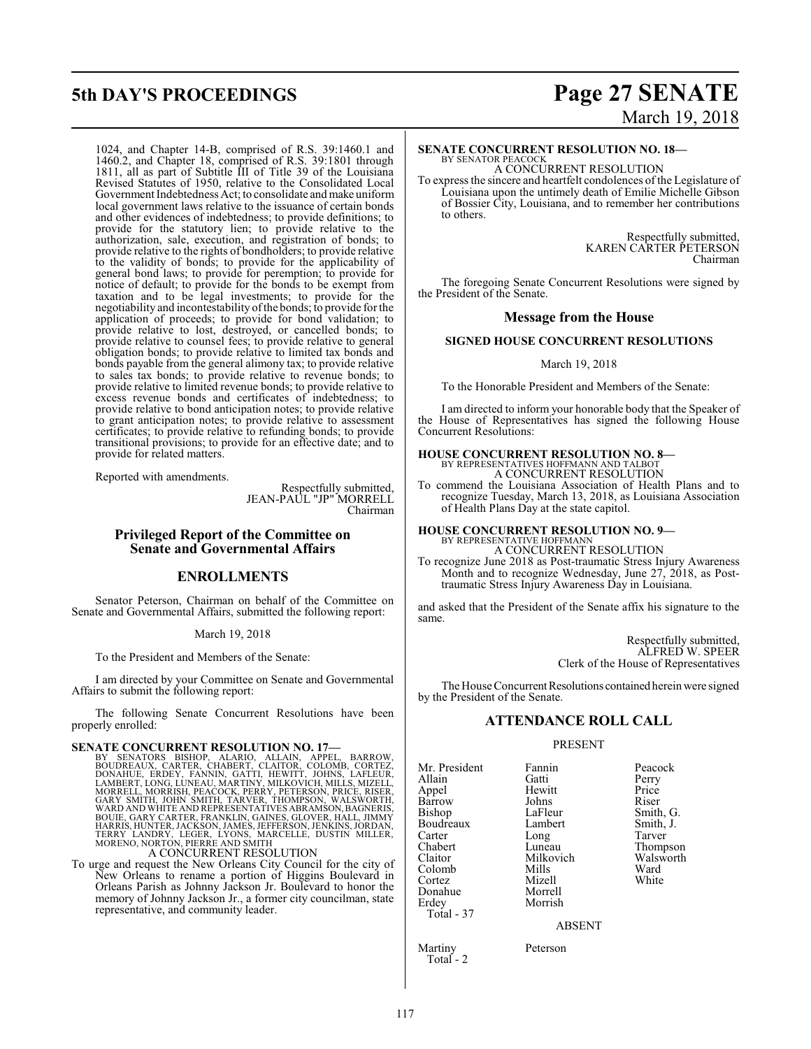# 1024, and Chapter 14-B, comprised of R.S. 39:1460.1 and 1460.2, and Chapter 18, comprised of R.S. 39:1801 through 1811, all as part of Subtitle III of Title 39 of the Louisiana Revised Statutes of 1950, relative to the Consolidated Local Government Indebtedness Act; to consolidate and make uniform local government laws relative to the issuance of certain bonds and other evidences of indebtedness; to provide definitions; to provide for the statutory lien; to provide relative to the authorization, sale, execution, and registration of bonds; to provide relative to the rights of bondholders; to provide relative to the validity of bonds; to provide for the applicability of general bond laws; to provide for peremption; to provide for notice of default; to provide for the bonds to be exempt from taxation and to be legal investments; to provide for the negotiability and incontestability ofthe bonds; to provide for the application of proceeds; to provide for bond validation; to provide relative to lost, destroyed, or cancelled bonds; to provide relative to counsel fees; to provide relative to general obligation bonds; to provide relative to limited tax bonds and bonds payable from the general alimony tax; to provide relative to sales tax bonds; to provide relative to revenue bonds; to provide relative to limited revenue bonds; to provide relative to excess revenue bonds and certificates of indebtedness; to provide relative to bond anticipation notes; to provide relative to grant anticipation notes; to provide relative to assessment certificates; to provide relative to refunding bonds; to provide transitional provisions; to provide for an effective date; and to provide for related matters.

Reported with amendments.

Respectfully submitted, JEAN-PAUL "JP" MORRELL Chairman

# **Privileged Report of the Committee on Senate and Governmental Affairs**

# **ENROLLMENTS**

Senator Peterson, Chairman on behalf of the Committee on Senate and Governmental Affairs, submitted the following report:

# March 19, 2018

To the President and Members of the Senate:

I am directed by your Committee on Senate and Governmental Affairs to submit the following report:

The following Senate Concurrent Resolutions have been properly enrolled:

**SENATE CONCURRENT RESOLUTION NO. 17—**<br>BY SENATORS BISHOP, ALARIO, ALLAIN, APPEL, BARROW, BOUDREAUX, CARTER, CHABICR, CLAITOR, COLOMB, CORTEZ,<br>DONAHUE, ERDEY, FANNIN, GATTI, HEWITT, JOHNS, LAFLEUR,<br>LAMBERT, LONG, LUNEAU, M

A CONCURRENT RESOLUTION

To urge and request the New Orleans City Council for the city of New Orleans to rename a portion of Higgins Boulevard in Orleans Parish as Johnny Jackson Jr. Boulevard to honor the memory of Johnny Jackson Jr., a former city councilman, state representative, and community leader.

# **5th DAY'S PROCEEDINGS Page 27 SENATE** March 19, 2018

# **SENATE CONCURRENT RESOLUTION NO. 18—**

BY SENATOR PEACOCK A CONCURRENT RESOLUTION

To express the sincere and heartfelt condolences of the Legislature of Louisiana upon the untimely death of Emilie Michelle Gibson of Bossier City, Louisiana, and to remember her contributions to others.

> Respectfully submitted, KAREN CARTER PETERSON Chairman

The foregoing Senate Concurrent Resolutions were signed by the President of the Senate.

# **Message from the House**

# **SIGNED HOUSE CONCURRENT RESOLUTIONS**

# March 19, 2018

To the Honorable President and Members of the Senate:

I am directed to inform your honorable body that the Speaker of the House of Representatives has signed the following House Concurrent Resolutions:

### **HOUSE CONCURRENT RESOLUTION NO. 8—** BY REPRESENTATIVES HOFFMANN AND TALBOT A CONCURRENT RESOLUTION

To commend the Louisiana Association of Health Plans and to recognize Tuesday, March 13, 2018, as Louisiana Association of Health Plans Day at the state capitol.

# **HOUSE CONCURRENT RESOLUTION NO. 9—** BY REPRESENTATIVE HOFFMANN A CONCURRENT RESOLUTION

To recognize June 2018 as Post-traumatic Stress Injury Awareness Month and to recognize Wednesday, June 27, 2018, as Posttraumatic Stress Injury Awareness Day in Louisiana.

and asked that the President of the Senate affix his signature to the same.

> Respectfully submitted, ALFRED W. SPEER Clerk of the House of Representatives

The House Concurrent Resolutions contained herein were signed by the President of the Senate.

# **ATTENDANCE ROLL CALL**

# PRESENT

Mr. President Fannin Peacock<br>Allain Gatti Perry Allain Gatti Perry Barrow Johns<br>Bishop LaFleur Boudreaux Lambert Smith,<br>Carter Long Tarver Carter Long<br>Chabert Luneau Chabert Luneau Thompson<br>Claitor Milkovich Walsworth Colomb Mills Ward<br>Cortez Mizell White Cortez Mizell<br>
Donahue Morrell Donahue Morrell Erdey Total - 37

Total - 2

Hewitt Price<br>
Johns Riser LaFleur Smith, G.<br>Lambert Smith, J.

Milkovich Walsworth<br>
Mills Ward

ABSENT

Martiny Peterson

117